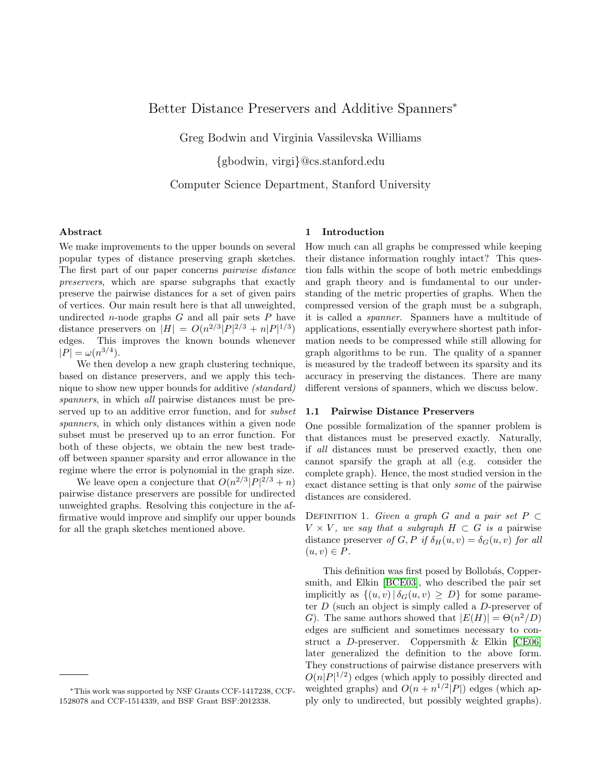# Better Distance Preservers and Additive Spanners<sup>∗</sup>

Greg Bodwin and Virginia Vassilevska Williams

{gbodwin, virgi}@cs.stanford.edu

Computer Science Department, Stanford University

# Abstract

We make improvements to the upper bounds on several popular types of distance preserving graph sketches. The first part of our paper concerns pairwise distance preservers, which are sparse subgraphs that exactly preserve the pairwise distances for a set of given pairs of vertices. Our main result here is that all unweighted, undirected *n*-node graphs  $G$  and all pair sets  $P$  have distance preservers on  $|H| = O(n^{2/3}|P|^{2/3} + n|P|^{1/3})$ edges. This improves the known bounds whenever  $|P| = \omega(n^{3/4}).$ 

We then develop a new graph clustering technique, based on distance preservers, and we apply this technique to show new upper bounds for additive (standard) spanners, in which all pairwise distances must be preserved up to an additive error function, and for *subset* spanners, in which only distances within a given node subset must be preserved up to an error function. For both of these objects, we obtain the new best tradeoff between spanner sparsity and error allowance in the regime where the error is polynomial in the graph size.

We leave open a conjecture that  $O(n^{2/3}|P|^{2/3}+n)$ pairwise distance preservers are possible for undirected unweighted graphs. Resolving this conjecture in the affirmative would improve and simplify our upper bounds for all the graph sketches mentioned above.

# 1 Introduction

How much can all graphs be compressed while keeping their distance information roughly intact? This question falls within the scope of both metric embeddings and graph theory and is fundamental to our understanding of the metric properties of graphs. When the compressed version of the graph must be a subgraph, it is called a spanner. Spanners have a multitude of applications, essentially everywhere shortest path information needs to be compressed while still allowing for graph algorithms to be run. The quality of a spanner is measured by the tradeoff between its sparsity and its accuracy in preserving the distances. There are many different versions of spanners, which we discuss below.

### 1.1 Pairwise Distance Preservers

One possible formalization of the spanner problem is that distances must be preserved exactly. Naturally, if all distances must be preserved exactly, then one cannot sparsify the graph at all (e.g. consider the complete graph). Hence, the most studied version in the exact distance setting is that only some of the pairwise distances are considered.

DEFINITION 1. Given a graph G and a pair set  $P \subset$  $V \times V$ , we say that a subgraph  $H \subset G$  is a pairwise distance preserver of G, P if  $\delta_H(u, v) = \delta_G(u, v)$  for all  $(u, v) \in P$ .

This definition was first posed by Bollobás, Coppersmith, and Elkin [\[BCE03\]](#page-14-0), who described the pair set implicitly as  $\{(u, v) | \delta_G(u, v) \geq D\}$  for some parameter  $D$  (such an object is simply called a  $D$ -preserver of G). The same authors showed that  $|E(H)| = \Theta(n^2/D)$ edges are sufficient and sometimes necessary to construct a D-preserver. Coppersmith & Elkin [\[CE06\]](#page-14-1) later generalized the definition to the above form. They constructions of pairwise distance preservers with  $O(n|P|^{1/2})$  edges (which apply to possibly directed and weighted graphs) and  $O(n + n^{1/2} |P|)$  edges (which apply only to undirected, but possibly weighted graphs).

<sup>∗</sup>This work was supported by NSF Grants CCF-1417238, CCF-1528078 and CCF-1514339, and BSF Grant BSF:2012338.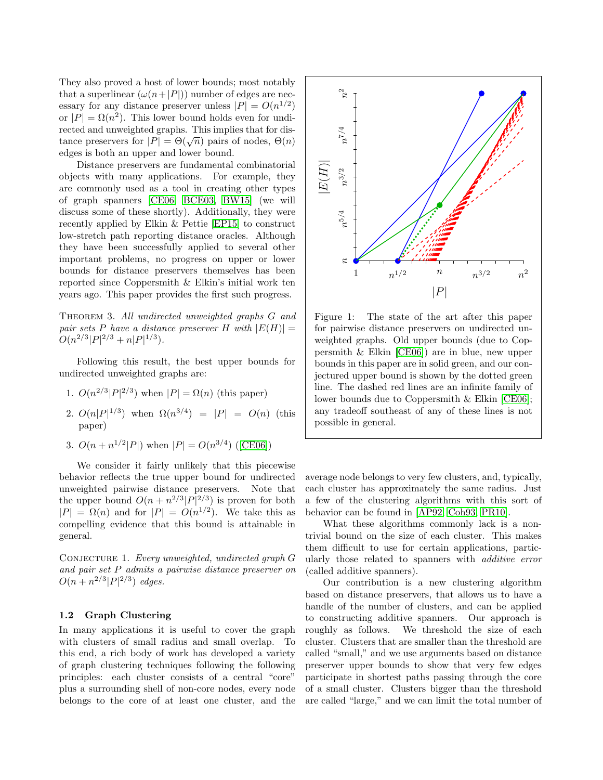They also proved a host of lower bounds; most notably that a superlinear  $(\omega(n+|P|))$  number of edges are necessary for any distance preserver unless  $|P| = O(n^{1/2})$ or  $|P| = \Omega(n^2)$ . This lower bound holds even for undirected and unweighted graphs. This implies that for distance preservers for  $|P| = \Theta(\sqrt{n})$  pairs of nodes,  $\Theta(n)$ edges is both an upper and lower bound.

Distance preservers are fundamental combinatorial objects with many applications. For example, they are commonly used as a tool in creating other types of graph spanners [\[CE06,](#page-14-1) [BCE03,](#page-14-0) [BW15\]](#page-14-2) (we will discuss some of these shortly). Additionally, they were recently applied by Elkin & Pettie [\[EP15\]](#page-15-0) to construct low-stretch path reporting distance oracles. Although they have been successfully applied to several other important problems, no progress on upper or lower bounds for distance preservers themselves has been reported since Coppersmith & Elkin's initial work ten years ago. This paper provides the first such progress.

THEOREM 3. All undirected unweighted graphs G and pair sets P have a distance preserver H with  $|E(H)| =$  $O(n^{2/3} |P|^{2/3} + n |P|^{1/3}).$ 

Following this result, the best upper bounds for undirected unweighted graphs are:

- 1.  $O(n^{2/3} |P|^{2/3})$  when  $|P| = \Omega(n)$  (this paper)
- 2.  $O(n|P|^{1/3})$  when  $\Omega(n^{3/4}) = |P| = O(n)$  (this paper)
- 3.  $O(n + n^{1/2} |P|)$  when  $|P| = O(n^{3/4})$  ([\[CE06\]](#page-14-1))

We consider it fairly unlikely that this piecewise behavior reflects the true upper bound for undirected unweighted pairwise distance preservers. Note that the upper bound  $O(n + n^{2/3} |P|^{2/3})$  is proven for both  $|P| = \Omega(n)$  and for  $|P| = O(n^{1/2})$ . We take this as compelling evidence that this bound is attainable in general.

CONJECTURE 1. Every unweighted, undirected graph G and pair set P admits a pairwise distance preserver on  $O(n + n^{2/3} |P|^{2/3})$  edges.

# 1.2 Graph Clustering

In many applications it is useful to cover the graph with clusters of small radius and small overlap. To this end, a rich body of work has developed a variety of graph clustering techniques following the following principles: each cluster consists of a central "core" plus a surrounding shell of non-core nodes, every node belongs to the core of at least one cluster, and the

<span id="page-1-0"></span>

Figure 1: The state of the art after this paper for pairwise distance preservers on undirected unweighted graphs. Old upper bounds (due to Coppersmith & Elkin [\[CE06\]](#page-14-1)) are in blue, new upper bounds in this paper are in solid green, and our conjectured upper bound is shown by the dotted green line. The dashed red lines are an infinite family of lower bounds due to Coppersmith & Elkin [\[CE06\]](#page-14-1); any tradeoff southeast of any of these lines is not possible in general.

average node belongs to very few clusters, and, typically, each cluster has approximately the same radius. Just a few of the clustering algorithms with this sort of behavior can be found in [\[AP92,](#page-14-3) [Coh93,](#page-14-4) [PR10\]](#page-15-1).

What these algorithms commonly lack is a nontrivial bound on the size of each cluster. This makes them difficult to use for certain applications, particularly those related to spanners with additive error (called additive spanners).

Our contribution is a new clustering algorithm based on distance preservers, that allows us to have a handle of the number of clusters, and can be applied to constructing additive spanners. Our approach is roughly as follows. We threshold the size of each cluster. Clusters that are smaller than the threshold are called "small," and we use arguments based on distance preserver upper bounds to show that very few edges participate in shortest paths passing through the core of a small cluster. Clusters bigger than the threshold are called "large," and we can limit the total number of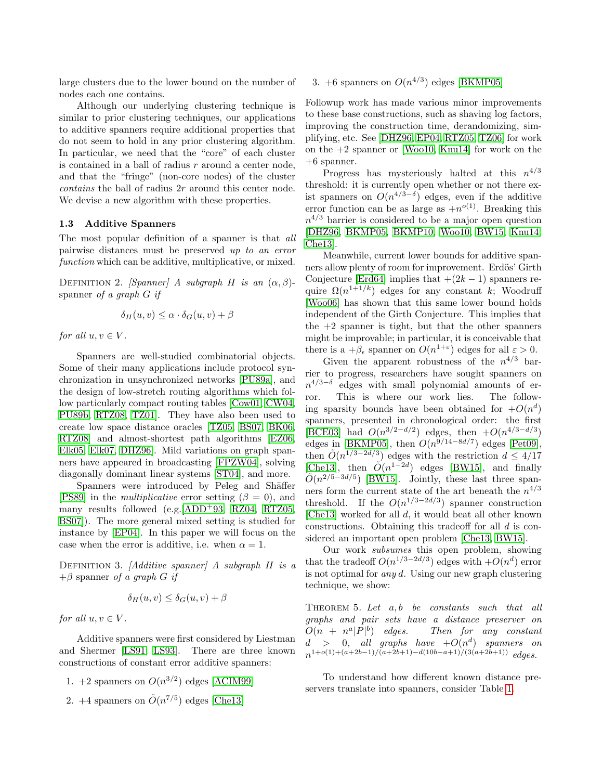large clusters due to the lower bound on the number of nodes each one contains.

Although our underlying clustering technique is similar to prior clustering techniques, our applications to additive spanners require additional properties that do not seem to hold in any prior clustering algorithm. In particular, we need that the "core" of each cluster is contained in a ball of radius  $r$  around a center node, and that the "fringe" (non-core nodes) of the cluster contains the ball of radius 2r around this center node. We devise a new algorithm with these properties.

# 1.3 Additive Spanners

The most popular definition of a spanner is that all pairwise distances must be preserved up to an error function which can be additive, multiplicative, or mixed.

DEFINITION 2. [Spanner] A subgraph H is an  $(\alpha, \beta)$ spanner of a graph G if

$$
\delta_H(u, v) \le \alpha \cdot \delta_G(u, v) + \beta
$$

for all  $u, v \in V$ .

Spanners are well-studied combinatorial objects. Some of their many applications include protocol synchronization in unsynchronized networks [\[PU89a\]](#page-15-2), and the design of low-stretch routing algorithms which follow particularly compact routing tables [\[Cow01,](#page-14-5) [CW04,](#page-14-6) [PU89b,](#page-15-3) [RTZ08,](#page-15-4) [TZ01\]](#page-15-5). They have also been used to create low space distance oracles [\[TZ05,](#page-15-6) [BS07,](#page-14-7) [BK06,](#page-14-8) [RTZ08\]](#page-15-4) and almost-shortest path algorithms [\[EZ06,](#page-15-7) [Elk05,](#page-14-9) [Elk07,](#page-14-10) [DHZ96\]](#page-14-11). Mild variations on graph spanners have appeared in broadcasting [\[FPZW04\]](#page-15-8), solving diagonally dominant linear systems [\[ST04\]](#page-15-9), and more.

Spanners were introduced by Peleg and Shäffer [\[PS89\]](#page-15-10) in the *multiplicative* error setting ( $\beta = 0$ ), and many results followed (e.g.  $[ADD+93, RZ04, RTZ05,$  $[ADD+93, RZ04, RTZ05,$  $[ADD+93, RZ04, RTZ05,$  $[ADD+93, RZ04, RTZ05,$ [BS07\]](#page-14-7)). The more general mixed setting is studied for instance by [\[EP04\]](#page-14-13). In this paper we will focus on the case when the error is additive, i.e. when  $\alpha = 1$ .

DEFINITION 3. [Additive spanner] A subgraph  $H$  is a  $+\beta$  spanner of a graph G if

$$
\delta_H(u, v) \le \delta_G(u, v) + \beta
$$

for all  $u, v \in V$ .

Additive spanners were first considered by Liestman and Shermer [\[LS91,](#page-15-13) [LS93\]](#page-15-14). There are three known constructions of constant error additive spanners:

- 1. +2 spanners on  $O(n^{3/2})$  edges [\[ACIM99\]](#page-14-14)
- 2. +4 spanners on  $\tilde{O}(n^{7/5})$  edges [\[Che13\]](#page-14-15)

# 3. +6 spanners on  $O(n^{4/3})$  edges [\[BKMP05\]](#page-14-16)

Followup work has made various minor improvements to these base constructions, such as shaving log factors, improving the construction time, derandomizing, simplifying, etc. See [\[DHZ96,](#page-14-11) [EP04,](#page-14-13) [RTZ05,](#page-15-12) [TZ06\]](#page-15-15) for work on the +2 spanner or [\[Woo10,](#page-15-16) [Knu14\]](#page-15-17) for work on the +6 spanner.

Progress has mysteriously halted at this  $n^{4/3}$ threshold: it is currently open whether or not there exist spanners on  $O(n^{4/3-\delta})$  edges, even if the additive error function can be as large as  $+n^{o(1)}$ . Breaking this  $n^{4/3}$  barrier is considered to be a major open question [\[DHZ96,](#page-14-11) [BKMP05,](#page-14-16) [BKMP10,](#page-14-17) [Woo10,](#page-15-16) [BW15,](#page-14-2) [Knu14,](#page-15-17) [Che13\]](#page-14-15).

Meanwhile, current lower bounds for additive spanners allow plenty of room for improvement. Erdös' Girth Conjecture [\[Erd64\]](#page-15-18) implies that  $+(2k-1)$  spanners require  $\Omega(n^{1+1/k})$  edges for any constant k; Woodruff [\[Woo06\]](#page-15-19) has shown that this same lower bound holds independent of the Girth Conjecture. This implies that the  $+2$  spanner is tight, but that the other spanners might be improvable; in particular, it is conceivable that there is a  $+\beta_{\epsilon}$  spanner on  $O(n^{1+\epsilon})$  edges for all  $\varepsilon > 0$ .

Given the apparent robustness of the  $n^{4/3}$  barrier to progress, researchers have sought spanners on  $n^{4/3-\delta}$  edges with small polynomial amounts of error. This is where our work lies. The following sparsity bounds have been obtained for  $+O(n^d)$ spanners, presented in chronological order: the first [\[BCE03\]](#page-14-0) had  $O(n^{3/2-d/2})$  edges, then  $+O(n^{4/3-d/3})$ edges in [\[BKMP05\]](#page-14-16), then  $O(n^{9/14-8d/7})$  edges [\[Pet09\]](#page-15-20), then  $\tilde{O}(n^{1/3-2d/3})$  edges with the restriction  $d \leq 4/17$ [\[Che13\]](#page-14-15), then  $\tilde{O}(n^{1-2d})$  edges [\[BW15\]](#page-14-2), and finally  $\tilde{O}(n^{2/5-3d/5})$  [\[BW15\]](#page-14-2). Jointly, these last three spanners form the current state of the art beneath the  $n^{4/3}$ threshold. If the  $O(n^{1/3-2d/3})$  spanner construction [\[Che13\]](#page-14-15) worked for all d, it would beat all other known constructions. Obtaining this tradeoff for all d is considered an important open problem [\[Che13,](#page-14-15) [BW15\]](#page-14-2).

Our work subsumes this open problem, showing that the tradeoff  $O(n^{1/3-2d/3})$  edges with  $+O(n^d)$  error is not optimal for *any d*. Using our new graph clustering technique, we show:

THEOREM 5. Let  $a, b$  be constants such that all graphs and pair sets have a distance preserver on  $O(n + n^a|P|^b)$ Then for any constant  $d > 0$ , all graphs have  $+O(n^d)$  spanners on  $n^{1+o(1)+(a+2b-1)/(a+2b+1)-d(10b-a+1)/(3(a+2b+1))}$  edges.

To understand how different known distance preservers translate into spanners, consider Table [1.](#page-3-0)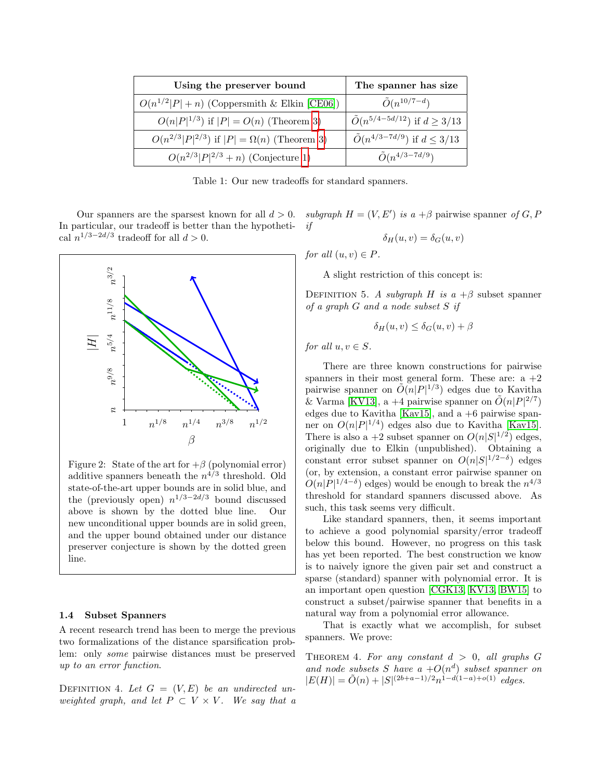<span id="page-3-0"></span>

| Using the preserver bound                              | The spanner has size                        |
|--------------------------------------------------------|---------------------------------------------|
| $O(n^{1/2} P +n)$ (Coppersmith & Elkin [CE06])         | $\tilde{O}(n^{10/7-d})$                     |
| $O(n P ^{1/3})$ if $ P  = O(n)$ (Theorem 3)            | $\tilde{O}(n^{5/4-5d/12})$ if $d \geq 3/13$ |
| $O(n^{2/3} P ^{2/3})$ if $ P  = \Omega(n)$ (Theorem 3) | $\tilde{O}(n^{4/3-7d/9})$ if $d \leq 3/13$  |
| $O(n^{2/3} P ^{2/3}+n)$ (Conjecture 1)                 | $\tilde{O}(n^{4/3-7d/9})$                   |

Table 1: Our new tradeoffs for standard spanners.

In particular, our tradeoff is better than the hypothetical  $n^{1/3-2d/3}$  tradeoff for all  $d > 0$ .



Figure 2: State of the art for  $+\beta$  (polynomial error) additive spanners beneath the  $n^{4/3}$  threshold. Old state-of-the-art upper bounds are in solid blue, and the (previously open)  $n^{1/3-2d/3}$  bound discussed above is shown by the dotted blue line. Our new unconditional upper bounds are in solid green, and the upper bound obtained under our distance preserver conjecture is shown by the dotted green line.

#### 1.4 Subset Spanners

A recent research trend has been to merge the previous two formalizations of the distance sparsification problem: only some pairwise distances must be preserved up to an error function.

DEFINITION 4. Let  $G = (V, E)$  be an undirected unweighted graph, and let  $P \subset V \times V$ . We say that a

Our spanners are the sparsest known for all  $d > 0$ . *subgraph*  $H = (V, E')$  is  $a + \beta$  pairwise spanner of G, P  $i$ f

$$
\delta_H(u,v) = \delta_G(u,v)
$$

for all  $(u, v) \in P$ .

A slight restriction of this concept is:

DEFINITION 5. A subgraph H is  $a + \beta$  subset spanner of a graph G and a node subset S if

$$
\delta_H(u, v) \le \delta_G(u, v) + \beta
$$

for all  $u, v \in S$ .

There are three known constructions for pairwise spanners in their most general form. These are:  $a + 2$ pairwise spanner on  $\tilde{O}(n|P|^{1/3})$  edges due to Kavitha & Varma [\[KV13\]](#page-15-21), a +4 pairwise spanner on  $\tilde{O}(n|P|^{2/7})$ edges due to Kavitha [\[Kav15\]](#page-15-22), and  $a + 6$  pairwise spanner on  $O(n|P|^{1/4})$  edges also due to Kavitha [\[Kav15\]](#page-15-22). There is also a  $+2$  subset spanner on  $O(n|S|^{1/2})$  edges, originally due to Elkin (unpublished). Obtaining a constant error subset spanner on  $O(n|S|^{1/2-\delta})$  edges (or, by extension, a constant error pairwise spanner on  $O(n|P|^{1/4-\delta})$  edges) would be enough to break the  $n^{4/3}$ threshold for standard spanners discussed above. As such, this task seems very difficult.

Like standard spanners, then, it seems important to achieve a good polynomial sparsity/error tradeoff below this bound. However, no progress on this task has yet been reported. The best construction we know is to naively ignore the given pair set and construct a sparse (standard) spanner with polynomial error. It is an important open question [\[CGK13,](#page-14-18) [KV13,](#page-15-21) [BW15\]](#page-14-2) to construct a subset/pairwise spanner that benefits in a natural way from a polynomial error allowance.

That is exactly what we accomplish, for subset spanners. We prove:

THEOREM 4. For any constant  $d > 0$ , all graphs G and node subsets S have  $a + O(n^d)$  subset spanner on  $|E(H)| = \tilde{O}(n) + |S|^{(2b+a-1)/2} n^{1-d(1-a)+o(1)}$  edges.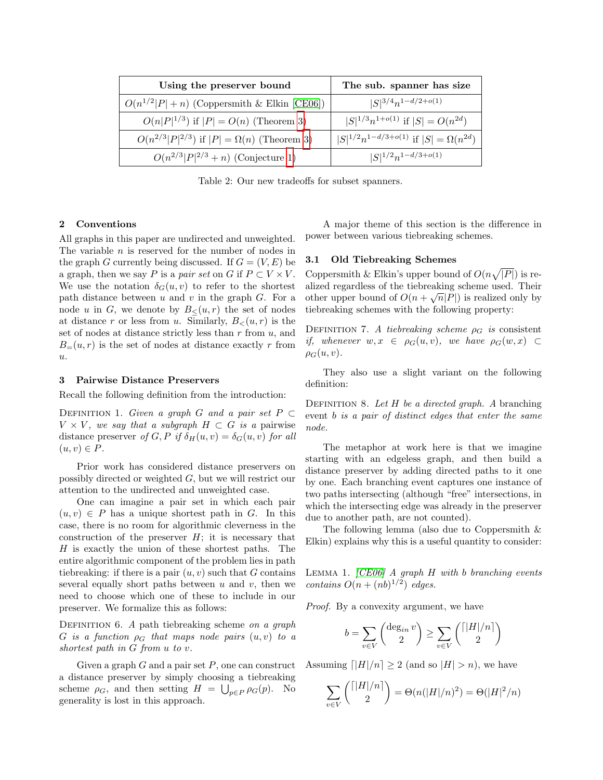| Using the preserver bound                              | The sub. spanner has size                           |
|--------------------------------------------------------|-----------------------------------------------------|
| $O(n^{1/2} P +n)$ (Coppersmith & Elkin [CE06])         | $ S ^{3/4}n^{1-d/2+o(1)}$                           |
| $O(n P ^{1/3})$ if $ P  = O(n)$ (Theorem 3)            | $ S ^{1/3}n^{1+o(1)}$ if $ S  = O(n^{2d})$          |
| $O(n^{2/3} P ^{2/3})$ if $ P  = \Omega(n)$ (Theorem 3) | $ S ^{1/2}n^{1-d/3+o(1)}$ if $ S  = \Omega(n^{2d})$ |
| $O(n^{2/3} P ^{2/3}+n)$ (Conjecture 1)                 | $ S ^{1/2}n^{1-d/3+o(1)}$                           |

Table 2: Our new tradeoffs for subset spanners.

# 2 Conventions

All graphs in this paper are undirected and unweighted. The variable  $n$  is reserved for the number of nodes in the graph G currently being discussed. If  $G = (V, E)$  be a graph, then we say P is a pair set on G if  $P \subset V \times V$ . We use the notation  $\delta_G(u, v)$  to refer to the shortest path distance between  $u$  and  $v$  in the graph  $G$ . For a node u in G, we denote by  $B_<(u,r)$  the set of nodes at distance r or less from u. Similarly,  $B_<(u, r)$  is the set of nodes at distance strictly less than  $r$  from  $u$ , and  $B=(u, r)$  is the set of nodes at distance exactly r from u.

#### 3 Pairwise Distance Preservers

Recall the following definition from the introduction:

DEFINITION 1. Given a graph G and a pair set  $P \subset$  $V \times V$ , we say that a subgraph  $H \subset G$  is a pairwise distance preserver of G, P if  $\delta_H(u, v) = \delta_G(u, v)$  for all  $(u, v) \in P$ .

Prior work has considered distance preservers on possibly directed or weighted G, but we will restrict our attention to the undirected and unweighted case.

One can imagine a pair set in which each pair  $(u, v) \in P$  has a unique shortest path in G. In this case, there is no room for algorithmic cleverness in the construction of the preserver  $H$ ; it is necessary that H is exactly the union of these shortest paths. The entire algorithmic component of the problem lies in path tiebreaking: if there is a pair  $(u, v)$  such that G contains several equally short paths between  $u$  and  $v$ , then we need to choose which one of these to include in our preserver. We formalize this as follows:

DEFINITION 6. A path tiebreaking scheme on a graph G is a function  $\rho_G$  that maps node pairs  $(u, v)$  to a shortest path in G from u to v.

Given a graph  $G$  and a pair set  $P$ , one can construct a distance preserver by simply choosing a tiebreaking scheme  $\rho_G$ , and then setting  $H = \bigcup_{p \in P} \rho_G(p)$ . No generality is lost in this approach.

A major theme of this section is the difference in power between various tiebreaking schemes.

# 3.1 Old Tiebreaking Schemes

Coppersmith & Elkin's upper bound of  $O(n\sqrt{|P|})$  is realized regardless of the tiebreaking scheme used. Their anzed regardless of the theoretical scheme used. Then<br>other upper bound of  $O(n + \sqrt{n}|P|)$  is realized only by tiebreaking schemes with the following property:

DEFINITION 7. A tiebreaking scheme  $\rho_G$  is consistent if, whenever  $w, x \in \rho_G(u, v)$ , we have  $\rho_G(w, x) \subset$  $\rho_G(u,v)$ .

They also use a slight variant on the following definition:

DEFINITION 8. Let  $H$  be a directed graph. A branching event b is a pair of distinct edges that enter the same node.

The metaphor at work here is that we imagine starting with an edgeless graph, and then build a distance preserver by adding directed paths to it one by one. Each branching event captures one instance of two paths intersecting (although "free" intersections, in which the intersecting edge was already in the preserver due to another path, are not counted).

<span id="page-4-0"></span>The following lemma (also due to Coppersmith & Elkin) explains why this is a useful quantity to consider:

LEMMA 1.  $[CE06]$  A graph H with b branching events contains  $O(n + (nb)^{1/2})$  edges.

Proof. By a convexity argument, we have

$$
b = \sum_{v \in V} \binom{\deg_{in} v}{2} \ge \sum_{v \in V} \binom{\lceil |H|/n \rceil}{2}
$$

Assuming  $\lceil |H|/n \rceil \geq 2$  (and so  $|H| > n$ ), we have

$$
\sum_{v \in V} {\binom{\lceil |H|/n \rceil}{2}} = \Theta(n(|H|/n)^2) = \Theta(|H|^2/n)
$$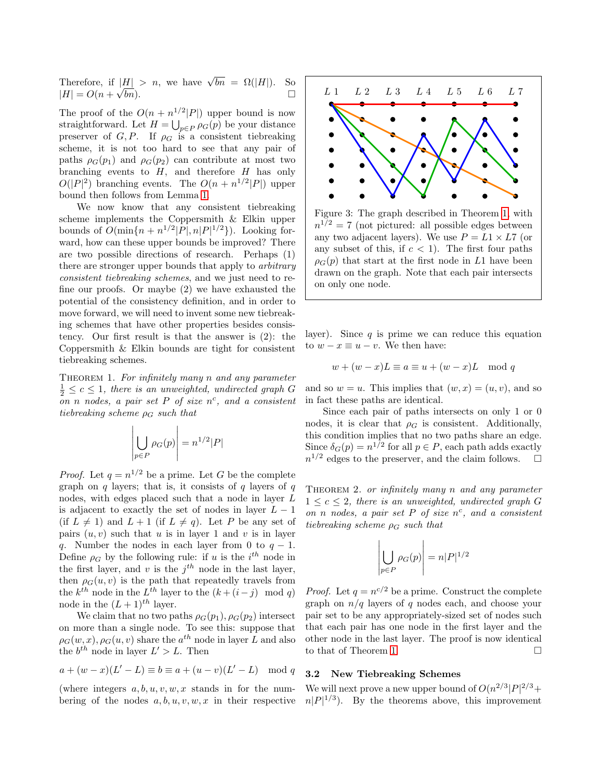Therefore, if  $|\underline{H}| > n$ , we have  $\sqrt{bn} = \Omega(|H|)$ . So  $|H| = O(n + \sqrt{bn}).$  $\overline{bn}$ ).

The proof of the  $O(n + n^{1/2} |P|)$  upper bound is now straightforward. Let  $H = \bigcup_{p \in P} \rho_G(p)$  be your distance preserver of  $G, P$ . If  $\rho_G$  is a consistent tiebreaking scheme, it is not too hard to see that any pair of paths  $\rho_G(p_1)$  and  $\rho_G(p_2)$  can contribute at most two branching events to  $H$ , and therefore  $H$  has only  $O(|P|^2)$  branching events. The  $O(n + n^{1/2}|P|)$  upper bound then follows from Lemma [1.](#page-4-0)

We now know that any consistent tiebreaking scheme implements the Coppersmith & Elkin upper bounds of  $O(\min\{n + n^{1/2} |P|, n |P|^{1/2}\})$ . Looking forward, how can these upper bounds be improved? There are two possible directions of research. Perhaps (1) there are stronger upper bounds that apply to arbitrary consistent tiebreaking schemes, and we just need to refine our proofs. Or maybe (2) we have exhausted the potential of the consistency definition, and in order to move forward, we will need to invent some new tiebreaking schemes that have other properties besides consistency. Our first result is that the answer is (2): the Coppersmith & Elkin bounds are tight for consistent tiebreaking schemes.

THEOREM 1. For infinitely many  $n$  and any parameter  $\frac{1}{2} \leq c \leq 1$ , there is an unweighted, undirected graph G on n nodes, a pair set P of size  $n^c$ , and a consistent tiebreaking scheme  $\rho_G$  such that

<span id="page-5-0"></span>
$$
\left| \bigcup_{p \in P} \rho_G(p) \right| = n^{1/2} |P|
$$

*Proof.* Let  $q = n^{1/2}$  be a prime. Let G be the complete graph on  $q$  layers; that is, it consists of  $q$  layers of  $q$ nodes, with edges placed such that a node in layer L is adjacent to exactly the set of nodes in layer  $L - 1$ (if  $L \neq 1$ ) and  $L + 1$  (if  $L \neq q$ ). Let P be any set of pairs  $(u, v)$  such that u is in layer 1 and v is in layer q. Number the nodes in each layer from 0 to  $q - 1$ . Define  $\rho_G$  by the following rule: if u is the  $i^{th}$  node in the first layer, and v is the  $j<sup>th</sup>$  node in the last layer, then  $\rho_G(u, v)$  is the path that repeatedly travels from the  $k^{th}$  node in the  $L^{th}$  layer to the  $(k + (i - j) \mod q)$ node in the  $(L+1)^{th}$  layer.

We claim that no two paths  $\rho_G(p_1), \rho_G(p_2)$  intersect on more than a single node. To see this: suppose that  $\rho_G(w, x), \rho_G(u, v)$  share the  $a^{th}$  node in layer L and also the  $b^{th}$  node in layer  $L' > L$ . Then

$$
a + (w - x)(L' - L) \equiv b \equiv a + (u - v)(L' - L) \mod q
$$

(where integers  $a, b, u, v, w, x$  stands in for the numbering of the nodes  $a, b, u, v, w, x$  in their respective



Figure 3: The graph described in Theorem [1,](#page-5-0) with  $n^{1/2} = 7$  (not pictured: all possible edges between any two adjacent layers). We use  $P = L1 \times L7$  (or any subset of this, if  $c < 1$ ). The first four paths  $\rho_G(p)$  that start at the first node in L1 have been drawn on the graph. Note that each pair intersects on only one node.

layer). Since  $q$  is prime we can reduce this equation to  $w - x \equiv u - v$ . We then have:

$$
w + (w - x)L \equiv a \equiv u + (w - x)L \mod q
$$

and so  $w = u$ . This implies that  $(w, x) = (u, v)$ , and so in fact these paths are identical.

Since each pair of paths intersects on only 1 or 0 nodes, it is clear that  $\rho_G$  is consistent. Additionally, this condition implies that no two paths share an edge. Since  $\delta_G(p) = n^{1/2}$  for all  $p \in P$ , each path adds exactly  $n^{1/2}$  edges to the preserver, and the claim follows.  $\square$ 

THEOREM 2. or infinitely many n and any parameter  $1 \leq c \leq 2$ , there is an unweighted, undirected graph G on n nodes, a pair set  $P$  of size  $n^c$ , and a consistent tiebreaking scheme  $\rho_G$  such that

$$
\left| \bigcup_{p \in P} \rho_G(p) \right| = n|P|^{1/2}
$$

*Proof.* Let  $q = n^{c/2}$  be a prime. Construct the complete graph on  $n/q$  layers of q nodes each, and choose your pair set to be any appropriately-sized set of nodes such that each pair has one node in the first layer and the other node in the last layer. The proof is now identical to that of Theorem [1.](#page-5-0)  $\Box$ 

# 3.2 New Tiebreaking Schemes

We will next prove a new upper bound of  $O(n^{2/3}|P|^{2/3}+$  $n|P|^{1/3}$ ). By the theorems above, this improvement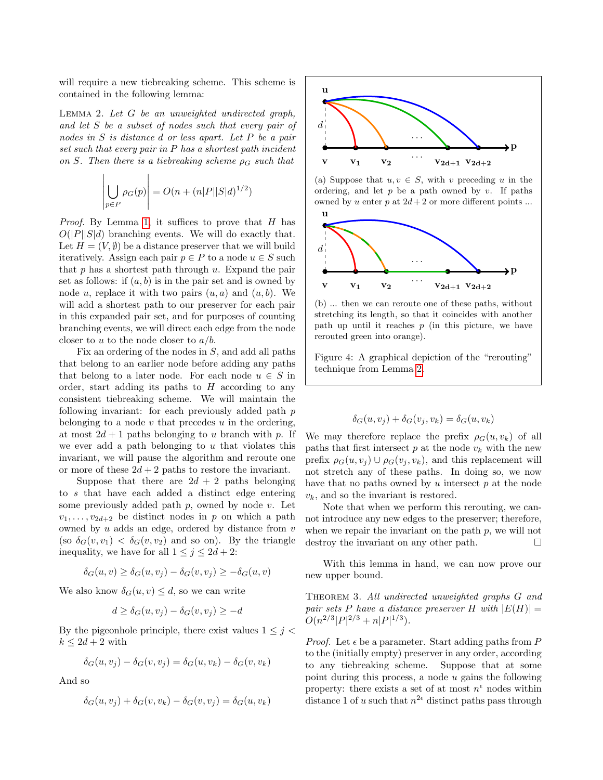will require a new tiebreaking scheme. This scheme is contained in the following lemma:

<span id="page-6-1"></span>LEMMA 2. Let  $G$  be an unweighted undirected graph, and let S be a subset of nodes such that every pair of nodes in S is distance d or less apart. Let P be a pair set such that every pair in P has a shortest path incident on S. Then there is a tiebreaking scheme  $\rho_G$  such that

$$
\left| \bigcup_{p \in P} \rho_G(p) \right| = O(n + (n|P||S|d)^{1/2})
$$

 $\mathbf{I}$ 

*Proof.* By Lemma [1,](#page-4-0) it suffices to prove that  $H$  has  $O(|P||S|d)$  branching events. We will do exactly that. Let  $H = (V, \emptyset)$  be a distance preserver that we will build iteratively. Assign each pair  $p \in P$  to a node  $u \in S$  such that  $p$  has a shortest path through  $u$ . Expand the pair set as follows: if  $(a, b)$  is in the pair set and is owned by node u, replace it with two pairs  $(u, a)$  and  $(u, b)$ . We will add a shortest path to our preserver for each pair in this expanded pair set, and for purposes of counting branching events, we will direct each edge from the node closer to u to the node closer to  $a/b$ .

Fix an ordering of the nodes in S, and add all paths that belong to an earlier node before adding any paths that belong to a later node. For each node  $u \in S$  in order, start adding its paths to  $H$  according to any consistent tiebreaking scheme. We will maintain the following invariant: for each previously added path p belonging to a node  $v$  that precedes  $u$  in the ordering, at most  $2d + 1$  paths belonging to u branch with p. If we ever add a path belonging to  $u$  that violates this invariant, we will pause the algorithm and reroute one or more of these  $2d + 2$  paths to restore the invariant.

Suppose that there are  $2d + 2$  paths belonging to s that have each added a distinct edge entering some previously added path  $p$ , owned by node  $v$ . Let  $v_1, \ldots, v_{2d+2}$  be distinct nodes in p on which a path owned by  $u$  adds an edge, ordered by distance from  $v$ (so  $\delta_G(v, v_1) < \delta_G(v, v_2)$  and so on). By the triangle inequality, we have for all  $1 \leq j \leq 2d + 2$ :

$$
\delta_G(u, v) \ge \delta_G(u, v_j) - \delta_G(v, v_j) \ge -\delta_G(u, v)
$$

We also know  $\delta_G(u, v) \leq d$ , so we can write

$$
d \ge \delta_G(u, v_j) - \delta_G(v, v_j) \ge -d
$$

By the pigeonhole principle, there exist values  $1 \leq j$  $k \leq 2d+2$  with

$$
\delta_G(u, v_j) - \delta_G(v, v_j) = \delta_G(u, v_k) - \delta_G(v, v_k)
$$

And so

$$
\delta_G(u, v_j) + \delta_G(v, v_k) - \delta_G(v, v_j) = \delta_G(u, v_k)
$$



(a) Suppose that  $u, v \in S$ , with v preceding u in the ordering, and let  $p$  be a path owned by  $v$ . If paths owned by u enter p at  $2d+2$  or more different points ...



(b) ... then we can reroute one of these paths, without stretching its length, so that it coincides with another path up until it reaches  $p$  (in this picture, we have rerouted green into orange).

Figure 4: A graphical depiction of the "rerouting" technique from Lemma [2.](#page-6-1)

$$
\delta_G(u, v_j) + \delta_G(v_j, v_k) = \delta_G(u, v_k)
$$

We may therefore replace the prefix  $\rho_G(u, v_k)$  of all paths that first intersect  $p$  at the node  $v_k$  with the new prefix  $\rho_G(u, v_j) \cup \rho_G(v_j, v_k)$ , and this replacement will not stretch any of these paths. In doing so, we now have that no paths owned by  $u$  intersect  $p$  at the node  $v_k$ , and so the invariant is restored.

Note that when we perform this rerouting, we cannot introduce any new edges to the preserver; therefore, when we repair the invariant on the path  $p$ , we will not destroy the invariant on any other path.  $\square$ 

With this lemma in hand, we can now prove our new upper bound.

<span id="page-6-0"></span>THEOREM 3. All undirected unweighted graphs G and pair sets P have a distance preserver H with  $|E(H)| =$  $O(n^{2/3} |P|^{2/3} + n |P|^{1/3}).$ 

*Proof.* Let  $\epsilon$  be a parameter. Start adding paths from P to the (initially empty) preserver in any order, according to any tiebreaking scheme. Suppose that at some point during this process, a node  $u$  gains the following property: there exists a set of at most  $n^{\epsilon}$  nodes within distance 1 of u such that  $n^{2\epsilon}$  distinct paths pass through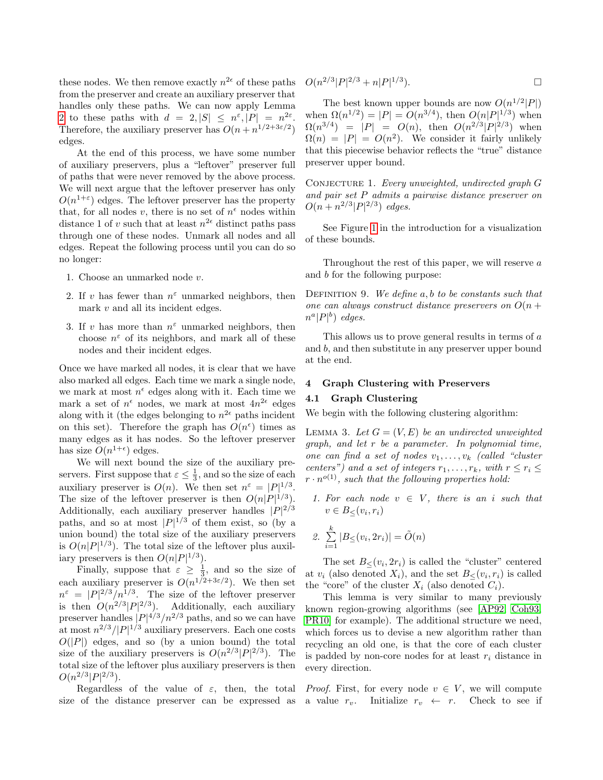these nodes. We then remove exactly  $n^{2\epsilon}$  of these paths from the preserver and create an auxiliary preserver that handles only these paths. We can now apply Lemma [2](#page-6-1) to these paths with  $d = 2, |S| \leq n^{\varepsilon}, |P| = n^{2\varepsilon}.$ Therefore, the auxiliary preserver has  $O(n + n^{1/2+3\varepsilon/2})$ edges.

At the end of this process, we have some number of auxiliary preservers, plus a "leftover" preserver full of paths that were never removed by the above process. We will next argue that the leftover preserver has only  $O(n^{1+\epsilon})$  edges. The leftover preserver has the property that, for all nodes v, there is no set of  $n^{\epsilon}$  nodes within distance 1 of v such that at least  $n^{2\epsilon}$  distinct paths pass through one of these nodes. Unmark all nodes and all edges. Repeat the following process until you can do so no longer:

- 1. Choose an unmarked node v.
- 2. If v has fewer than  $n^{\varepsilon}$  unmarked neighbors, then mark  $v$  and all its incident edges.
- 3. If v has more than  $n^{\varepsilon}$  unmarked neighbors, then choose  $n^{\varepsilon}$  of its neighbors, and mark all of these nodes and their incident edges.

Once we have marked all nodes, it is clear that we have also marked all edges. Each time we mark a single node, we mark at most  $n^{\epsilon}$  edges along with it. Each time we mark a set of  $n^{\epsilon}$  nodes, we mark at most  $4n^{2\epsilon}$  edges along with it (the edges belonging to  $n^{2\epsilon}$  paths incident on this set). Therefore the graph has  $O(n^{\epsilon})$  times as many edges as it has nodes. So the leftover preserver has size  $O(n^{1+\epsilon})$  edges.

We will next bound the size of the auxiliary preservers. First suppose that  $\varepsilon \leq \frac{1}{3}$ , and so the size of each auxiliary preserver is  $O(n)$ . We then set  $n^{\varepsilon} = |P|^{1/3}$ . The size of the leftover preserver is then  $O(n|P|^{1/3})$ . Additionally, each auxiliary preserver handles  $|P|^{2/3}$ paths, and so at most  $|P|^{1/3}$  of them exist, so (by a union bound) the total size of the auxiliary preservers is  $O(n|P|^{1/3})$ . The total size of the leftover plus auxiliary preservers is then  $O(n|P|^{1/3})$ .

Finally, suppose that  $\varepsilon \geq \frac{1}{3}$ , and so the size of each auxiliary preserver is  $O(n^{1/2+3\varepsilon/2})$ . We then set  $n^{\varepsilon} = |P|^{2/3}/n^{1/3}$ . The size of the leftover preserver is then  $O(n^{2/3} |P|^{2/3})$ . Additionally, each auxiliary preserver handles  $|P|^{4/3}/n^{2/3}$  paths, and so we can have at most  $n^{2/3}/|P|^{1/3}$  auxiliary preservers. Each one costs  $O(|P|)$  edges, and so (by a union bound) the total size of the auxiliary preservers is  $O(n^{2/3} |P|^{2/3})$ . The total size of the leftover plus auxiliary preservers is then  $O(n^{2/3}|P|^{2/3}).$ 

Regardless of the value of  $\varepsilon$ , then, the total size of the distance preserver can be expressed as

$$
O(n^{2/3}|P|^{2/3} + n|P|^{1/3}).
$$

The best known upper bounds are now  $O(n^{1/2} |P|)$ when  $\Omega(n^{1/2}) = |P| = O(n^{3/4})$ , then  $O(n|P|^{1/3})$  when  $\Omega(n^{3/4}) = |P| = O(n)$ , then  $O(n^{2/3} |P|^{2/3})$  when  $\Omega(n) = |P| = O(n^2)$ . We consider it fairly unlikely that this piecewise behavior reflects the "true" distance preserver upper bound.

<span id="page-7-0"></span>CONJECTURE 1. Every unweighted, undirected graph  $G$ and pair set P admits a pairwise distance preserver on  $O(n + n^{2/3} |P|^{2/3})$  edges.

See Figure [1](#page-1-0) in the introduction for a visualization of these bounds.

Throughout the rest of this paper, we will reserve a and b for the following purpose:

DEFINITION 9. We define  $a, b$  to be constants such that one can always construct distance preservers on  $O(n +$  $n^a|P|^b$  edges.

This allows us to prove general results in terms of a and b, and then substitute in any preserver upper bound at the end.

### 4 Graph Clustering with Preservers

# 4.1 Graph Clustering

<span id="page-7-1"></span>We begin with the following clustering algorithm:

LEMMA 3. Let  $G = (V, E)$  be an undirected unweighted graph, and let r be a parameter. In polynomial time, one can find a set of nodes  $v_1, \ldots, v_k$  (called "cluster" centers") and a set of integers  $r_1, \ldots, r_k$ , with  $r \leq r_i \leq$  $r \cdot n^{o(1)}$ , such that the following properties hold:

1. For each node  $v \in V$ , there is an i such that  $v \in B_{\leq}(v_i,r_i)$ 

2. 
$$
\sum_{i=1}^{k} |B_{\leq}(v_i, 2r_i)| = \tilde{O}(n)
$$

The set  $B_{\leq}(v_i, 2r_i)$  is called the "cluster" centered at  $v_i$  (also denoted  $X_i$ ), and the set  $B_{\leq}(v_i, r_i)$  is called the "core" of the cluster  $X_i$  (also denoted  $C_i$ ).

This lemma is very similar to many previously known region-growing algorithms (see [\[AP92,](#page-14-3) [Coh93,](#page-14-4) [PR10\]](#page-15-1) for example). The additional structure we need, which forces us to devise a new algorithm rather than recycling an old one, is that the core of each cluster is padded by non-core nodes for at least  $r_i$  distance in every direction.

*Proof.* First, for every node  $v \in V$ , we will compute a value  $r_v$ . Initialize  $r_v \leftarrow r$ . Check to see if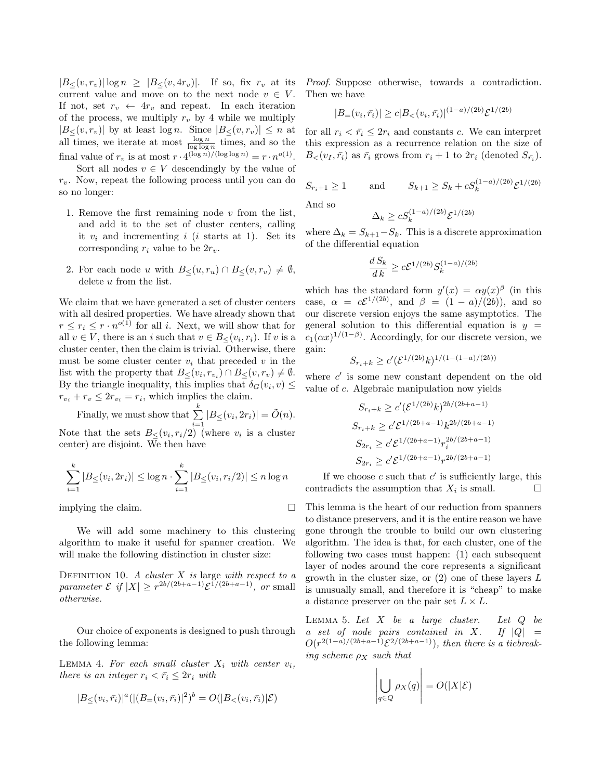$|B_{\leq}(v,r_v)| \log n \geq |B_{\leq}(v, 4r_v)|$ . If so, fix  $r_v$  at its current value and move on to the next node  $v \in V$ . If not, set  $r_v \leftarrow 4r_v$  and repeat. In each iteration of the process, we multiply  $r_v$  by 4 while we multiply  $|B_{\leq}(v, r_v)|$  by at least log n. Since  $|B_{\leq}(v, r_v)| \leq n$  at all times, we iterate at most  $\frac{\log n}{\log \log n}$  times, and so the final value of  $r_v$  is at most  $r \cdot 4^{(\log n)/(\log \log n)} = r \cdot n^{o(1)}$ .

Sort all nodes  $v \in V$  descendingly by the value of  $r_v$ . Now, repeat the following process until you can do so no longer:

- 1. Remove the first remaining node  $v$  from the list, and add it to the set of cluster centers, calling it  $v_i$  and incrementing i (i starts at 1). Set its corresponding  $r_i$  value to be  $2r_v$ .
- 2. For each node u with  $B_{\leq}(u, r_u) \cap B_{\leq}(v, r_v) \neq \emptyset$ , delete u from the list.

We claim that we have generated a set of cluster centers with all desired properties. We have already shown that  $r \leq r_i \leq r \cdot n^{o(1)}$  for all *i*. Next, we will show that for all  $v \in V$ , there is an i such that  $v \in B_{\leq}(v_i, r_i)$ . If v is a cluster center, then the claim is trivial. Otherwise, there must be some cluster center  $v_i$  that preceded v in the list with the property that  $B_{\leq}(v_i, r_{v_i}) \cap B_{\leq}(v, r_v) \neq \emptyset$ . By the triangle inequality, this implies that  $\delta_G(v_i, v) \leq$  $r_{v_i} + r_v \leq 2r_{v_i} = r_i$ , which implies the claim.

Finally, we must show that  $\sum_{k=1}^{k}$  $\sum_{i=1}^{n} |B_{\leq}(v_i, 2r_i)| = \tilde{O}(n).$ Note that the sets  $B_{\leq}(v_i,r_i/2)$  (where  $v_i$  is a cluster center) are disjoint. We then have

$$
\sum_{i=1}^{k} |B_{\le}(v_i, 2r_i)| \le \log n \cdot \sum_{i=1}^{k} |B_{\le}(v_i, r_i/2)| \le n \log n
$$

implying the claim.

We will add some machinery to this clustering algorithm to make it useful for spanner creation. We will make the following distinction in cluster size:

DEFINITION 10. A cluster  $X$  is large with respect to a parameter  $\mathcal{E}$  if  $|X| \geq r^{2b/(2b+a-1)} \mathcal{E}^{1/(2b+a-1)}$ , or small otherwise.

<span id="page-8-0"></span>Our choice of exponents is designed to push through the following lemma:

LEMMA 4. For each small cluster  $X_i$  with center  $v_i$ , there is an integer  $r_i < \bar{r_i} \leq 2r_i$  with

$$
|B_{\leq}(v_i, \bar{r}_i)|^a (|(B_{=}(v_i, \bar{r}_i)|^2)^b = O(|B_{<}(v_i, \bar{r}_i)|\mathcal{E})
$$

Proof. Suppose otherwise, towards a contradiction. Then we have

$$
|B_{=}(\nu_i, \bar{r}_i)| \ge c|B_{<}(\nu_i, \bar{r}_i)|^{(1-a)/(2b)} \mathcal{E}^{1/(2b)}
$$

for all  $r_i < \bar{r}_i \leq 2r_i$  and constants c. We can interpret this expression as a recurrence relation on the size of  $B_{\leq}(v_I, \bar{r_i})$  as  $\bar{r_i}$  grows from  $r_i + 1$  to  $2r_i$  (denoted  $S_{\bar{r_i}}$ ).

$$
S_{r_i+1} \ge 1
$$
 and  $S_{k+1} \ge S_k + cS_k^{(1-a)/(2b)} \mathcal{E}^{1/(2b)}$ 

And so

$$
\Delta_k \ge c S_k^{(1-a)/(2b)} \mathcal{E}^{1/(2b)}
$$

where  $\Delta_k = S_{k+1} - S_k$ . This is a discrete approximation of the differential equation

$$
\frac{d S_k}{d k} \ge c \mathcal{E}^{1/(2b)} S_k^{(1-a)/(2b)}
$$

which has the standard form  $y'(x) = \alpha y(x)^{\beta}$  (in this case,  $\alpha = c\mathcal{E}^{1/(2b)}$ , and  $\beta = (1 - a)/(2b)$ , and so our discrete version enjoys the same asymptotics. The general solution to this differential equation is  $y =$  $c_1(\alpha x)^{1/(1-\beta)}$ . Accordingly, for our discrete version, we gain:

$$
S_{r_i+k} \ge c' (\mathcal{E}^{1/(2b)} k)^{1/(1-(1-a)/(2b))}
$$

where  $c'$  is some new constant dependent on the old value of c. Algebraic manipulation now yields

$$
S_{r_i+k} \ge c'(\mathcal{E}^{1/(2b)}k)^{2b/(2b+a-1)}
$$
  
\n
$$
S_{r_i+k} \ge c'\mathcal{E}^{1/(2b+a-1)}k^{2b/(2b+a-1)}
$$
  
\n
$$
S_{2r_i} \ge c'\mathcal{E}^{1/(2b+a-1)}r_i^{2b/(2b+a-1)}
$$
  
\n
$$
S_{2r_i} \ge c'\mathcal{E}^{1/(2b+a-1)}r^{2b/(2b+a-1)}
$$

If we choose  $c$  such that  $c'$  is sufficiently large, this contradicts the assumption that  $X_i$  is small.  $\Box$ 

This lemma is the heart of our reduction from spanners to distance preservers, and it is the entire reason we have gone through the trouble to build our own clustering algorithm. The idea is that, for each cluster, one of the following two cases must happen: (1) each subsequent layer of nodes around the core represents a significant growth in the cluster size, or  $(2)$  one of these layers  $L$ is unusually small, and therefore it is "cheap" to make a distance preserver on the pair set  $L \times L$ .

<span id="page-8-1"></span>LEMMA 5. Let  $X$  be a large cluster. Let  $Q$  be a set of node pairs contained in X. If  $|Q|$  =  $O(r^{2(1-a)/(2b+a-1)}\mathcal{E}^{2/(2b+a-1)}),$  then there is a tiebreaking scheme  $\rho_X$  such that

$$
\left|\bigcup_{q\in Q}\rho_X(q)\right| = O(|X|\mathcal{E})
$$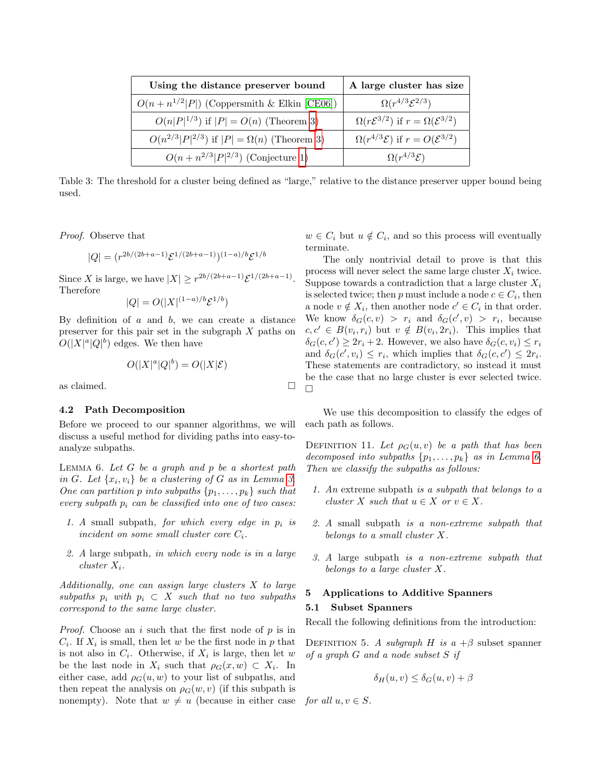| Using the distance preserver bound                     | A large cluster has size                                        |
|--------------------------------------------------------|-----------------------------------------------------------------|
| $O(n + n^{1/2}  P )$ (Coppersmith & Elkin [CE06])      | $\Omega(r^{4/3}\mathcal{E}^{2/3})$                              |
| $O(n P ^{1/3})$ if $ P  = O(n)$ (Theorem 3)            | $\Omega(r\mathcal{E}^{3/2})$ if $r = \Omega(\mathcal{E}^{3/2})$ |
| $O(n^{2/3} P ^{2/3})$ if $ P  = \Omega(n)$ (Theorem 3) | $\Omega(r^{4/3}\mathcal{E})$ if $r = O(\mathcal{E}^{3/2})$      |
| $O(n + n^{2/3}  P ^{2/3})$ (Conjecture 1)              | $\Omega(r^{4/3}\mathcal{E})$                                    |

Table 3: The threshold for a cluster being defined as "large," relative to the distance preserver upper bound being used.

Proof. Observe that

$$
|Q|=(r^{2b/(2b+a-1)}\mathcal{E}^{1/(2b+a-1)})^{(1-a)/b}\mathcal{E}^{1/b}
$$

Since X is large, we have  $|X| \geq r^{2b/(2b+a-1)} \mathcal{E}^{1/(2b+a-1)}$ . Therefore

$$
|Q| = O(|X|^{(1-a)/b} \mathcal{E}^{1/b})
$$

By definition of  $a$  and  $b$ , we can create a distance preserver for this pair set in the subgraph X paths on  $O(|X|^a|Q|^b)$  edges. We then have

<span id="page-9-0"></span>
$$
O(|X|^a|Q|^b) = O(|X|\mathcal{E})
$$

as claimed.

#### 4.2 Path Decomposition

Before we proceed to our spanner algorithms, we will discuss a useful method for dividing paths into easy-toanalyze subpaths.

LEMMA 6. Let  $G$  be a graph and  $p$  be a shortest path in G. Let  $\{x_i, v_i\}$  be a clustering of G as in Lemma [3.](#page-7-1) One can partition p into subpaths  $\{p_1, \ldots, p_k\}$  such that every subpath  $p_i$  can be classified into one of two cases:

- 1. A small subpath, for which every edge in  $p_i$  is incident on some small cluster core  $C_i$ .
- 2. A large subpath, in which every node is in a large cluster  $X_i$ .

Additionally, one can assign large clusters  $X$  to large subpaths  $p_i$  with  $p_i \subset X$  such that no two subpaths correspond to the same large cluster.

*Proof.* Choose an i such that the first node of  $p$  is in  $C_i$ . If  $X_i$  is small, then let w be the first node in p that is not also in  $C_i$ . Otherwise, if  $X_i$  is large, then let w be the last node in  $X_i$  such that  $\rho_G(x, w) \subset X_i$ . In either case, add  $\rho_G(u, w)$  to your list of subpaths, and then repeat the analysis on  $\rho_G(w, v)$  (if this subpath is nonempty). Note that  $w \neq u$  (because in either case

 $w \in C_i$  but  $u \notin C_i$ , and so this process will eventually terminate.

The only nontrivial detail to prove is that this process will never select the same large cluster  $X_i$  twice. Suppose towards a contradiction that a large cluster  $X_i$ is selected twice; then p must include a node  $c \in C_i$ , then a node  $v \notin X_i$ , then another node  $c' \in C_i$  in that order. We know  $\delta_G(c, v) > r_i$  and  $\delta_G(c', v) > r_i$ , because  $c, c' \in B(v_i, r_i)$  but  $v \notin B(v_i, 2r_i)$ . This implies that  $\delta_G(c, c') \geq 2r_i + 2$ . However, we also have  $\delta_G(c, v_i) \leq r_i$ and  $\delta_G(c', v_i) \leq r_i$ , which implies that  $\delta_G(c, c') \leq 2r_i$ . These statements are contradictory, so instead it must be the case that no large cluster is ever selected twice.  $\Box$ 

<span id="page-9-1"></span>We use this decomposition to classify the edges of each path as follows.

DEFINITION 11. Let  $\rho_G(u, v)$  be a path that has been decomposed into subpaths  $\{p_1, \ldots, p_k\}$  as in Lemma [6.](#page-9-0) Then we classify the subpaths as follows:

- 1. An extreme subpath is a subpath that belongs to a cluster X such that  $u \in X$  or  $v \in X$ .
- 2. A small subpath is a non-extreme subpath that belongs to a small cluster X.
- 3. A large subpath is a non-extreme subpath that belongs to a large cluster X.

#### 5 Applications to Additive Spanners

### 5.1 Subset Spanners

Recall the following definitions from the introduction:

DEFINITION 5. A subgraph H is  $a + \beta$  subset spanner of a graph  $G$  and a node subset  $S$  if

$$
\delta_H(u, v) \le \delta_G(u, v) + \beta
$$

for all  $u, v \in S$ .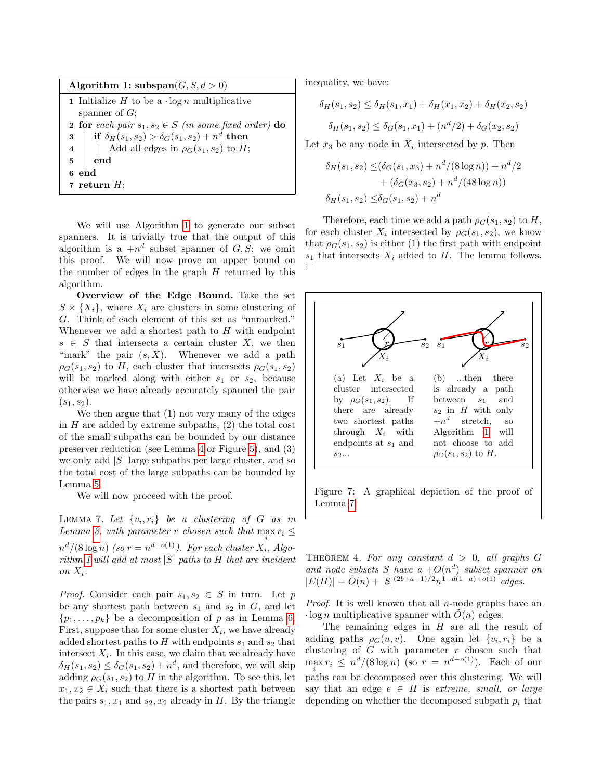| Algorithm 1: subspan $(G, S, d > 0)$                                                                                                                                                                                       |
|----------------------------------------------------------------------------------------------------------------------------------------------------------------------------------------------------------------------------|
| <b>1</b> Initialize H to be a $\log n$ multiplicative                                                                                                                                                                      |
| spanner of $G$ :                                                                                                                                                                                                           |
| <b>2</b> for each pair $s_1, s_2 \in S$ (in some fixed order) do                                                                                                                                                           |
|                                                                                                                                                                                                                            |
| 3<br>$\begin{array}{c c c c c c c c} \text{if} & \delta_H(s_1, s_2) > \delta_G(s_1, s_2) + n^d \text{ then} \\ \text{if} & \text{Add all edges in } \rho_G(s_1, s_2) \text{ to } H; \\ \text{if} & \text{end} \end{array}$ |
| end                                                                                                                                                                                                                        |
| 6 end                                                                                                                                                                                                                      |
| 7 return $H$ :                                                                                                                                                                                                             |

<span id="page-10-0"></span>We will use Algorithm [1](#page-10-0) to generate our subset spanners. It is trivially true that the output of this algorithm is a  $+n^d$  subset spanner of  $G, S$ ; we omit this proof. We will now prove an upper bound on the number of edges in the graph  $H$  returned by this algorithm.

Overview of the Edge Bound. Take the set  $S \times \{X_i\}$ , where  $X_i$  are clusters in some clustering of G. Think of each element of this set as "unmarked." Whenever we add a shortest path to  $H$  with endpoint  $s \in S$  that intersects a certain cluster X, we then "mark" the pair  $(s, X)$ . Whenever we add a path  $\rho_G(s_1, s_2)$  to H, each cluster that intersects  $\rho_G(s_1, s_2)$ will be marked along with either  $s_1$  or  $s_2$ , because otherwise we have already accurately spanned the pair  $(s_1, s_2)$ .

We then argue that (1) not very many of the edges in  $H$  are added by extreme subpaths,  $(2)$  the total cost of the small subpaths can be bounded by our distance preserver reduction (see Lemma [4](#page-8-0) or Figure [5\)](#page-16-0), and (3) we only add  $|S|$  large subpaths per large cluster, and so the total cost of the large subpaths can be bounded by Lemma [5.](#page-8-1)

We will now proceed with the proof.

<span id="page-10-1"></span>LEMMA 7. Let  $\{v_i, r_i\}$  be a clustering of G as in Lemma [3,](#page-7-1) with parameter r chosen such that  $\max r_i \leq$ i  $n^d/(8 \log n)$  (so  $r = n^{d - o(1)}$ ). For each cluster  $X_i$ , Algo-rithm [1](#page-10-0) will add at most  $|S|$  paths to H that are incident on  $X_i$ .

*Proof.* Consider each pair  $s_1, s_2 \in S$  in turn. Let p be any shortest path between  $s_1$  and  $s_2$  in  $G$ , and let  $\{p_1, \ldots, p_k\}$  be a decomposition of p as in Lemma [6.](#page-9-0) First, suppose that for some cluster  $X_i$ , we have already added shortest paths to H with endpoints  $s_1$  and  $s_2$  that intersect  $X_i$ . In this case, we claim that we already have  $\delta_H(s_1, s_2) \leq \delta_G(s_1, s_2) + n^d$ , and therefore, we will skip adding  $\rho_G(s_1, s_2)$  to H in the algorithm. To see this, let  $x_1, x_2 \in X_i$  such that there is a shortest path between the pairs  $s_1, x_1$  and  $s_2, x_2$  already in H. By the triangle inequality, we have:

$$
\delta_H(s_1, s_2) \le \delta_H(s_1, x_1) + \delta_H(x_1, x_2) + \delta_H(x_2, s_2)
$$

$$
\delta_H(s_1, s_2) \le \delta_G(s_1, x_1) + (n^d/2) + \delta_G(x_2, s_2)
$$

Let  $x_3$  be any node in  $X_i$  intersected by p. Then

$$
\delta_H(s_1, s_2) \leq (\delta_G(s_1, x_3) + n^d/(8 \log n)) + n^d/2
$$
  
+  $(\delta_G(x_3, s_2) + n^d/(48 \log n))$   
 $\delta_H(s_1, s_2) \leq \delta_G(s_1, s_2) + n^d$ 

Therefore, each time we add a path  $\rho_G(s_1, s_2)$  to H, for each cluster  $X_i$  intersected by  $\rho_G(s_1, s_2)$ , we know that  $\rho_G(s_1, s_2)$  is either (1) the first path with endpoint  $s_1$  that intersects  $X_i$  added to H. The lemma follows.  $\Box$ 



Figure 7: A graphical depiction of the proof of Lemma [7.](#page-10-1)

<span id="page-10-2"></span>THEOREM 4. For any constant  $d > 0$ , all graphs G and node subsets S have  $a + O(n^d)$  subset spanner on  $|E(H)| = \tilde{O}(n) + |S|^{(2b+a-1)/2} n^{1-d(1-a)+o(1)}$  edges.

*Proof.* It is well known that all *n*-node graphs have an  $\log n$  multiplicative spanner with  $O(n)$  edges.

The remaining edges in  $H$  are all the result of adding paths  $\rho_G(u, v)$ . One again let  $\{v_i, r_i\}$  be a clustering of  $G$  with parameter  $r$  chosen such that  $\max r_i \leq n^d/(8 \log n)$  (so  $r = n^{d - o(1)}$ ). Each of our  $\sum_{i=1}^{n}$  and be decomposed over this clustering. We will say that an edge  $e \in H$  is extreme, small, or large depending on whether the decomposed subpath  $p_i$  that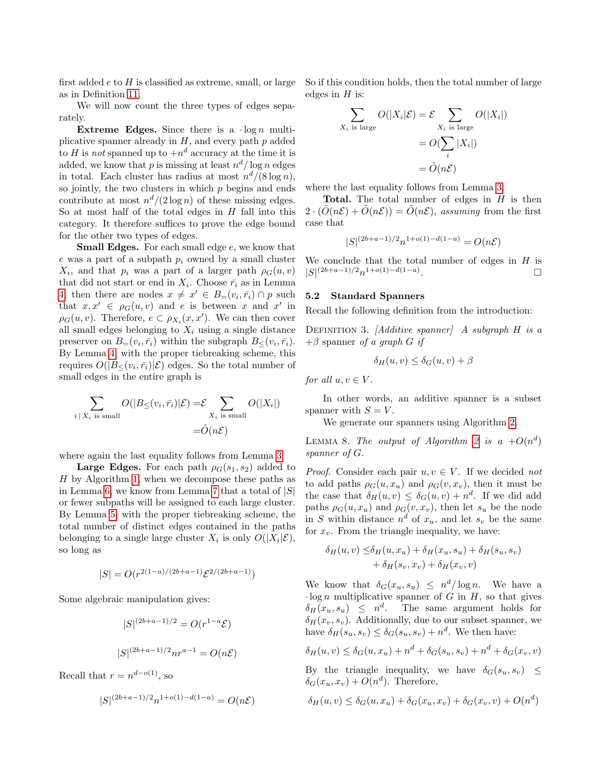first added  $e$  to  $H$  is classified as extreme, small, or large as in Definition [11.](#page-9-1)

We will now count the three types of edges separately.

Extreme Edges. Since there is a  $\log n$  multiplicative spanner already in  $H$ , and every path  $p$  added to H is not spanned up to  $+n^d$  accuracy at the time it is added, we know that p is missing at least  $n^d/\log n$  edges in total. Each cluster has radius at most  $n^d/(8 \log n)$ , so jointly, the two clusters in which  $p$  begins and ends contribute at most  $n^d/(2 \log n)$  of these missing edges. So at most half of the total edges in  $H$  fall into this category. It therefore suffices to prove the edge bound for the other two types of edges.

**Small Edges.** For each small edge e, we know that  $e$  was a part of a subpath  $p_i$  owned by a small cluster  $X_i$ , and that  $p_i$  was a part of a larger path  $\rho_G(u, v)$ that did not start or end in  $X_i$ . Choose  $\bar{r}_i$  as in Lemma [4;](#page-8-0) then there are nodes  $x \neq x' \in B_{=}(v_i, \bar{r}_i) \cap p$  such that  $x, x' \in \rho_G(u, v)$  and e is between x and x' in  $\rho_G(u, v)$ . Therefore,  $e \subset \rho_{X_i}(x, x')$ . We can then cover all small edges belonging to  $X_i$  using a single distance preserver on  $B=(v_i, \bar{r}_i)$  within the subgraph  $B_{\leq}(v_i, \bar{r}_i)$ . By Lemma [4,](#page-8-0) with the proper tiebreaking scheme, this requires  $O(|B_{\leq}(v_i, \bar{r}_i)|\mathcal{E})$  edges. So the total number of small edges in the entire graph is

$$
\sum_{i \mid X_i \text{ is small}} O(|B_{\leq}(v_i, \bar{r}_i)|\mathcal{E}) = \mathcal{E} \sum_{X_i \text{ is small}} O(|X_i|)
$$

$$
= \tilde{O}(n\mathcal{E})
$$

where again the last equality follows from Lemma [3.](#page-7-1)

**Large Edges.** For each path  $\rho_G(s_1, s_2)$  added to  $H$  by Algorithm [1,](#page-10-0) when we decompose these paths as in Lemma [6,](#page-9-0) we know from Lemma [7](#page-10-1) that a total of  $|S|$ or fewer subpaths will be assigned to each large cluster. By Lemma [5,](#page-8-1) with the proper tiebreaking scheme, the total number of distinct edges contained in the paths belonging to a single large cluster  $X_i$  is only  $O(|X_i|\mathcal{E}),$ so long as

$$
|S| = O(r^{2(1-a)/(2b+a-1)} \mathcal{E}^{2/(2b+a-1)})
$$

Some algebraic manipulation gives:

$$
|S|^{(2b+a-1)/2} = O(r^{1-a}\mathcal{E})
$$
  

$$
|S|^{(2b+a-1)/2}nr^{a-1} = O(n\mathcal{E})
$$

Recall that  $r = n^{d - o(1)}$ , so

$$
|S|^{(2b+a-1)/2}n^{1+o(1)-d(1-a)} = O(n\mathcal{E})
$$

So if this condition holds, then the total number of large edges in  $H$  is:

$$
\sum_{X_i \text{ is large}} O(|X_i|\mathcal{E}) = \mathcal{E} \sum_{X_i \text{ is large}} O(|X_i|)
$$

$$
= O(\sum_i |X_i|)
$$

$$
= \tilde{O}(n\mathcal{E})
$$

where the last equality follows from Lemma [3.](#page-7-1)

**Total.** The total number of edges in  $H$  is then  $2 \cdot (\tilde{O}(n\mathcal{E}) + \tilde{O}(n\mathcal{E})) = \tilde{O}(n\mathcal{E}),$  assuming from the first case that

$$
|S|^{(2b+a-1)/2}n^{1+o(1)-d(1-a)} = O(n\mathcal{E})
$$

We conclude that the total number of edges in  $H$  is  $|S|^{(2b+a-1)/2}n^{1+o(1)-d(1-a)}$ .

#### 5.2 Standard Spanners

Recall the following definition from the introduction:

DEFINITION 3. [Additive spanner] A subgraph  $H$  is a  $+\beta$  spanner of a graph G if

$$
\delta_H(u, v) \le \delta_G(u, v) + \beta
$$

for all  $u, v \in V$ .

In other words, an additive spanner is a subset spanner with  $S = V$ .

We generate our spanners using Algorithm [2.](#page-12-0)

<span id="page-11-0"></span>LEMMA 8. The output of Algorithm [2](#page-12-0) is a  $+O(n^d)$ spanner of G.

*Proof.* Consider each pair  $u, v \in V$ . If we decided not to add paths  $\rho_G(u, x_u)$  and  $\rho_G(v, x_v)$ , then it must be the case that  $\delta_H(u, v) \leq \delta_G(u, v) + n^d$ . If we did add paths  $\rho_G(u, x_u)$  and  $\rho_G(v, x_v)$ , then let  $s_u$  be the node in S within distance  $n^d$  of  $x_u$ , and let  $s_v$  be the same for  $x_v$ . From the triangle inequality, we have:

$$
\delta_H(u, v) \leq \delta_H(u, x_u) + \delta_H(x_u, s_u) + \delta_H(s_u, s_v) + \delta_H(s_v, x_v) + \delta_H(x_v, v)
$$

We know that  $\delta_G(x_u, s_u) \leq n^d/\log n$ . We have a  $\log n$  multiplicative spanner of G in H, so that gives  $\delta_H(x_u, s_u) \leq n^d$ . The same argument holds for  $\delta_H(x_v, s_v)$ . Additionally, due to our subset spanner, we have  $\delta_H(s_u, s_v) \leq \delta_G(s_u, s_v) + n^d$ . We then have:

$$
\delta_H(u,v) \le \delta_G(u,x_u) + n^d + \delta_G(s_u,s_v) + n^d + \delta_G(x_v,v)
$$

By the triangle inequality, we have  $\delta_G(s_u, s_v) \leq$  $\delta_G(x_u, x_v) + O(n^d)$ . Therefore,

$$
\delta_H(u, v) \le \delta_G(u, x_u) + \delta_G(x_u, x_v) + \delta_G(x_v, v) + O(n^d)
$$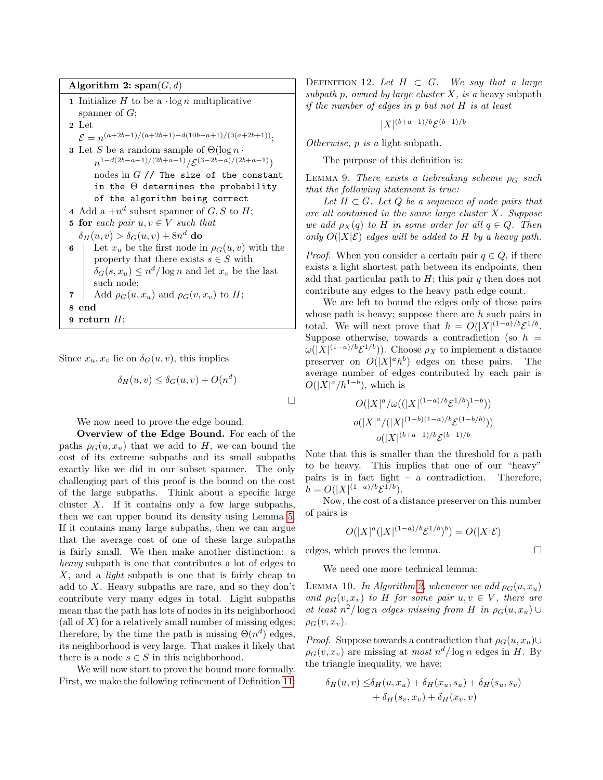Algorithm 2:  $\text{span}(G, d)$ 1 Initialize  $H$  to be a  $\log n$  multiplicative spanner of  $G$ ; 2 Let  $\mathcal{E} = n^{(a+2b-1)/(a+2b+1)-d(10b-a+1)/(3(a+2b+1))};$  $\bf 3$  Let  $S$  be a random sample of  $\Theta(\log n\cdot$  $n^{1-d(2b-a+1)/(2b+a-1)}/\mathcal{E}^{(3-2b-a)/(2b+a-1)})$ nodes in  $G$  // The size of the constant in the  $\Theta$  determines the probability of the algorithm being correct 4 Add a  $+n^d$  subset spanner of  $G, S$  to  $H$ ; 5 for each pair  $u, v \in V$  such that  $\delta_H(u,v) > \delta_G(u,v) + 8n^d$  do 6 Let  $x_u$  be the first node in  $\rho_G(u, v)$  with the property that there exists  $s \in S$  with  $\delta_G(s, x_u) \leq n^d / \log n$  and let  $x_v$  be the last such node; 7 Add  $\rho_G(u, x_u)$  and  $\rho_G(v, x_v)$  to H; 8 end 9 return  $H$ ;

<span id="page-12-0"></span>Since  $x_u, x_v$  lie on  $\delta_G(u, v)$ , this implies

 $\delta_H(u, v) \leq \delta_G(u, v) + O(n^d)$ 

We now need to prove the edge bound.

Overview of the Edge Bound. For each of the paths  $\rho_G(u, x_u)$  that we add to H, we can bound the cost of its extreme subpaths and its small subpaths exactly like we did in our subset spanner. The only challenging part of this proof is the bound on the cost of the large subpaths. Think about a specific large cluster  $X$ . If it contains only a few large subpaths, then we can upper bound its density using Lemma [5.](#page-8-1) If it contains many large subpaths, then we can argue that the average cost of one of these large subpaths is fairly small. We then make another distinction: a heavy subpath is one that contributes a lot of edges to  $X$ , and a *light* subpath is one that is fairly cheap to add to X. Heavy subpaths are rare, and so they don't contribute very many edges in total. Light subpaths mean that the path has lots of nodes in its neighborhood (all of  $X$ ) for a relatively small number of missing edges; therefore, by the time the path is missing  $\Theta(n^d)$  edges, its neighborhood is very large. That makes it likely that there is a node  $s \in S$  in this neighborhood.

We will now start to prove the bound more formally. First, we make the following refinement of Definition [11:](#page-9-1) DEFINITION 12. Let  $H \subset G$ . We say that a large subpath p, owned by large cluster  $X$ , is a heavy subpath if the number of edges in p but not H is at least

<span id="page-12-2"></span> $|X|^{(b+a-1)/b} \mathcal{E}^{(b-1)/b}$ 

Otherwise, p is a light subpath.

The purpose of this definition is:

LEMMA 9. There exists a tiebreaking scheme  $\rho_G$  such that the following statement is true:

Let  $H \subset G$ . Let  $Q$  be a sequence of node pairs that are all contained in the same large cluster X. Suppose we add  $\rho_X(q)$  to H in some order for all  $q \in Q$ . Then only  $O(|X|\mathcal{E})$  edges will be added to H by a heavy path.

*Proof.* When you consider a certain pair  $q \in Q$ , if there exists a light shortest path between its endpoints, then add that particular path to  $H$ ; this pair q then does not contribute any edges to the heavy path edge count.

We are left to bound the edges only of those pairs whose path is heavy; suppose there are  $h$  such pairs in total. We will next prove that  $h = O(|X|^{(1-a)/b} \mathcal{E}^{1/b}$ . Suppose otherwise, towards a contradiction (so  $h =$  $\omega(|X|^{(1-a)/b}\mathcal{E}^{1/b})$ . Choose  $\rho_X$  to implement a distance preserver on  $O(|X|^a h^b)$  edges on these pairs. The average number of edges contributed by each pair is  $O(|X|^a/h^{1-b})$ , which is

$$
O(|X|^a/\omega((|X|^{(1-a)/b}\mathcal{E}^{1/b})^{1-b}))
$$
  

$$
o(|X|^a/(|X|^{(1-b)(1-a)/b}\mathcal{E}^{(1-b/b)}))
$$
  

$$
o(|X|^{(b+a-1)/b}\mathcal{E}^{(b-1)/b}
$$

Note that this is smaller than the threshold for a path to be heavy. This implies that one of our "heavy" pairs is in fact light – a contradiction. Therefore,  $h = O(|X|^{(1-a)/b} \mathcal{E}^{1/b}).$ 

Now, the cost of a distance preserver on this number of pairs is

<span id="page-12-1"></span>
$$
O(|X|^a(|X|^{(1-a)/b}\mathcal{E}^{1/b})^b) = O(|X|\mathcal{E})
$$

edges, which proves the lemma.

 $\Box$ 

We need one more technical lemma:

LEMMA 10. In Algorithm [2,](#page-12-0) whenever we add  $\rho_G(u, x_u)$ and  $\rho_G(v, x_v)$  to H for some pair  $u, v \in V$ , there are at least  $n^2/\log n$  edges missing from H in  $\rho_G(u, x_u) \cup$  $\rho_G(v, x_v)$ .

*Proof.* Suppose towards a contradiction that  $\rho_G(u, x_u) \cup$  $\rho_G(v, x_v)$  are missing at most  $n^d/\log n$  edges in H. By the triangle inequality, we have:

$$
\delta_H(u, v) \leq \delta_H(u, x_u) + \delta_H(x_u, s_u) + \delta_H(s_u, s_v)
$$
  
+  $\delta_H(s_v, x_v) + \delta_H(x_v, v)$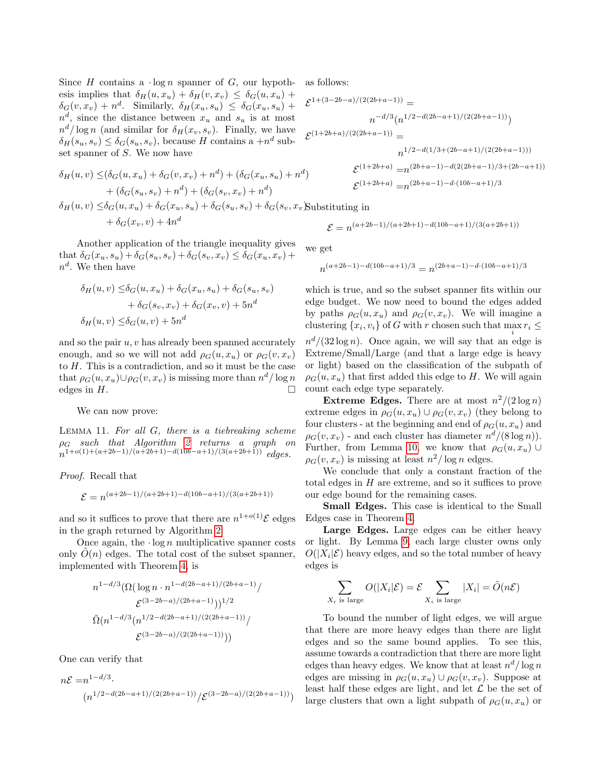Since H contains a  $\log n$  spanner of G, our hypothesis implies that  $\delta_H(u, x_u) + \delta_H(v, x_v) \leq \delta_G(u, x_u) +$  $\delta_G(v, x_v) + n^d$ . Similarly,  $\delta_H(x_u, s_u) \leq \delta_G(x_u, s_u) +$  $n^d$ , since the distance between  $x_u$  and  $s_u$  is at most  $n^d/\log n$  (and similar for  $\delta_H(x_v, s_v)$ ). Finally, we have  $\delta_H(s_u, s_v) \leq \delta_G(s_u, s_v)$ , because H contains a  $+n^d$  subset spanner of S. We now have

$$
\delta_H(u, v) \leq (\delta_G(u, x_u) + \delta_G(v, x_v) + n^d) + (\delta_G(x_u, s_u) + n^d) + (\delta_G(s_u, s_v) + n^d) + (\delta_G(s_v, x_v) + n^d) \delta_H(u, v) \leq \delta_G(u, x_u) + \delta_G(x_u, s_u) + \delta_G(s_u, s_v) + \delta_G(s_v, x_v) \text{Substit}
$$

$$
+ \delta_G(x_v, v) + 4n^d
$$

Another application of the triangle inequality gives that  $\delta_G(x_u, s_u) + \delta_G(s_u, s_v) + \delta_G(s_v, x_v) \leq \delta_G(x_u, x_v) +$  $n^d$ . We then have

$$
\delta_H(u, v) \leq \delta_G(u, x_u) + \delta_G(x_u, s_u) + \delta_G(s_u, s_v)
$$

$$
+ \delta_G(s_v, x_v) + \delta_G(x_v, v) + 5n^d
$$

$$
\delta_H(u, v) \leq \delta_G(u, v) + 5n^d
$$

and so the pair  $u, v$  has already been spanned accurately enough, and so we will not add  $\rho_G(u, x_u)$  or  $\rho_G(v, x_v)$ to H. This is a contradiction, and so it must be the case that  $\rho_G(u, x_u) \cup \rho_G(v, x_v)$  is missing more than  $n^d / \log n$ edges in  $H$ .

<span id="page-13-0"></span>We can now prove:

LEMMA 11. For all  $G$ , there is a tiebreaking scheme  $\rho_G$  such that Algorithm [2](#page-12-0) returns a graph on  $n^{1+o(1)+(a+2b-1)/(a+2b+1)-d(10b-a+1)/(3(a+2b+1))}$  edges.

Proof. Recall that

$$
\mathcal{E} = n^{(a+2b-1)/(a+2b+1)-d(10b-a+1)/(3(a+2b+1))}
$$

and so it suffices to prove that there are  $n^{1+o(1)}\mathcal{E}$  edges in the graph returned by Algorithm [2.](#page-12-0)

Once again, the  $\log n$  multiplicative spanner costs only  $\tilde{O}(n)$  edges. The total cost of the subset spanner, implemented with Theorem [4,](#page-10-2) is

$$
n^{1-d/3}(\Omega(\log n \cdot n^{1-d(2b-a+1)/(2b+a-1)})
$$

$$
\mathcal{E}^{(3-2b-a)/(2b+a-1)}))^{1/2}
$$

$$
\tilde{\Omega}(n^{1-d/3}(n^{1/2-d(2b-a+1)/(2(2b+a-1))}/\mathcal{E}^{(3-2b-a)/(2(2b+a-1))}))
$$

One can verify that

$$
n\mathcal{E} = n^{1-d/3} \cdot (n^{1/2-d(2b-a+1)/(2(2b+a-1))}/\mathcal{E}^{(3-2b-a)/(2(2b+a-1))})
$$

as follows:

$$
\mathcal{E}^{1+(3-2b-a)/(2(2b+a-1))} =
$$
\n
$$
n^{-d/3} (n^{1/2-d(2b-a+1)/(2(2b+a-1))})
$$
\n
$$
\mathcal{E}^{(1+2b+a)/(2(2b+a-1))} =
$$
\n
$$
n^{1/2-d(1/3+(2b-a+1)/(2(2b+a-1)))}
$$
\n
$$
\mathcal{E}^{(1+2b+a)} = n^{(2b+a-1)-d(2(2b+a-1)/3+(2b-a+1))}
$$
\n
$$
\mathcal{E}^{(1+2b+a)} = n^{(2b+a-1)-d \cdot (10b-a+1)/3}
$$

tuting in

$$
\mathcal{E} = n^{(a+2b-1)/(a+2b+1)-d(10b-a+1)/(3(a+2b+1))}
$$

we get

$$
n^{(a+2b-1)-d(10b-a+1)/3}=n^{(2b+a-1)-d\cdot(10b-a+1)/3}
$$

which is true, and so the subset spanner fits within our edge budget. We now need to bound the edges added by paths  $\rho_G(u, x_u)$  and  $\rho_G(v, x_v)$ . We will imagine a clustering  $\{x_i, v_i\}$  of G with r chosen such that  $\max_i r_i \leq$ 

 $n^d/(32 \log n)$ . Once again, we will say that an edge is Extreme/Small/Large (and that a large edge is heavy or light) based on the classification of the subpath of  $\rho_G(u, x_u)$  that first added this edge to H. We will again count each edge type separately.

**Extreme Edges.** There are at most  $n^2/(2 \log n)$ extreme edges in  $\rho_G(u, x_u) \cup \rho_G(v, x_v)$  (they belong to four clusters - at the beginning and end of  $\rho_G(u, x_u)$  and  $\rho_G(v, x_v)$  - and each cluster has diameter  $n^d/(8 \log n)$ ). Further, from Lemma [10,](#page-12-1) we know that  $\rho_G(u, x_u)$  ∪  $\rho_G(v, x_v)$  is missing at least  $n^2/\log n$  edges.

We conclude that only a constant fraction of the total edges in H are extreme, and so it suffices to prove our edge bound for the remaining cases.

Small Edges. This case is identical to the Small Edges case in Theorem [4.](#page-10-2)

Large Edges. Large edges can be either heavy or light. By Lemma [9,](#page-12-2) each large cluster owns only  $O(|X_i|\mathcal{E})$  heavy edges, and so the total number of heavy edges is

$$
\sum_{X_i \text{ is large}} O(|X_i|\mathcal{E}) = \mathcal{E} \sum_{X_i \text{ is large}} |X_i| = \tilde{O}(n\mathcal{E})
$$

To bound the number of light edges, we will argue that there are more heavy edges than there are light edges and so the same bound applies. To see this, assume towards a contradiction that there are more light edges than heavy edges. We know that at least  $n^d/\log n$ edges are missing in  $\rho_G(u, x_u) \cup \rho_G(v, x_v)$ . Suppose at least half these edges are light, and let  $\mathcal L$  be the set of large clusters that own a light subpath of  $\rho_G(u, x_u)$  or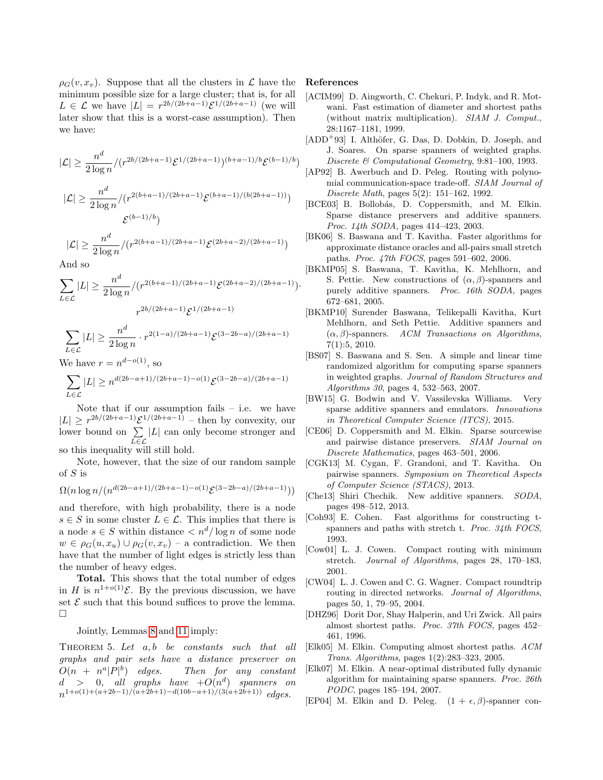$\rho_G(v, x_v)$ . Suppose that all the clusters in  $\mathcal L$  have the minimum possible size for a large cluster; that is, for all  $L \in \mathcal{L}$  we have  $|L| = r^{2b/(2b+a-1)} \mathcal{E}^{1/(2b+a-1)}$  (we will later show that this is a worst-case assumption). Then we have:

$$
|\mathcal{L}| \ge \frac{n^d}{2\log n} / (r^{2b/(2b+a-1)} \mathcal{E}^{1/(2b+a-1)})^{(b+a-1)/b} \mathcal{E}^{(b-1)/b})
$$

$$
|\mathcal{L}| \ge \frac{n^d}{2 \log n} / (r^{2(b+a-1)/(2b+a-1)} \mathcal{E}^{(b+a-1)/(b(2b+a-1))})
$$
  

$$
\mathcal{E}^{(b-1)/b})
$$

$$
|\mathcal{L}| \ge \frac{n^d}{2\log n} / (r^{2(b+a-1)/(2b+a-1)} \mathcal{E}^{(2b+a-2)/(2b+a-1)})
$$

And so

$$
\sum_{L \in \mathcal{L}} |L| \ge \frac{n^d}{2 \log n} / (r^{2(b+a-1)/(2b+a-1)} \mathcal{E}^{(2b+a-2)/(2b+a-1)}).
$$
  

$$
r^{2b/(2b+a-1)} \mathcal{E}^{1/(2b+a-1)}
$$

$$
\sum_{L \in \mathcal{L}} |L| \ge \frac{n^d}{2 \log n} \cdot r^{2(1-a)/(2b+a-1)} \mathcal{E}^{(3-2b-a)/(2b+a-1)}
$$

We have  $r = n^{d - o(1)}$ , so

$$
\sum_{L \in \mathcal{L}} |L| \ge n^{d(2b - a + 1)/(2b + a - 1) - o(1)} \mathcal{E}^{(3 - 2b - a)/(2b + a - 1)}
$$

Note that if our assumption fails  $-$  i.e. we have  $|L| \geq r^{2b/(2b+a-1)} \mathcal{E}^{1/(2b+a-1)}$  – then by convexity, our lower bound on  $\Sigma$ L∈L |L| can only become stronger and so this inequality will still hold.

Note, however, that the size of our random sample of  $S$  is

$$
\Omega(n\log n/(n^{d(2b-a+1)/(2b+a-1)-o(1)}\mathcal{E}^{(3-2b-a)/(2b+a-1)}))
$$

and therefore, with high probability, there is a node  $s \in S$  in some cluster  $L \in \mathcal{L}$ . This implies that there is a node  $s \in S$  within distance  $\langle n^d / \log n \rangle$  of some node  $w \in \rho_G(u, x_u) \cup \rho_G(v, x_v)$  – a contradiction. We then have that the number of light edges is strictly less than the number of heavy edges.

Total. This shows that the total number of edges in H is  $n^{1+o(1)}\mathcal{E}$ . By the previous discussion, we have set  $\mathcal E$  such that this bound suffices to prove the lemma.  $\Box$ 

Jointly, Lemmas [8](#page-11-0) and [11](#page-13-0) imply:

THEOREM 5. Let  $a, b$  be constants such that all graphs and pair sets have a distance preserver on  $O(n + n^a|P|^b)$ Then for any constant  $d > 0$ , all graphs have  $+O(n^d)$  spanners on  $n^{1+o(1)+(a+2b-1)/(a+2b+1)-d(10b-a+1)/(3(a+2b+1))}$  edges.

#### References

- <span id="page-14-14"></span>[ACIM99] D. Aingworth, C. Chekuri, P. Indyk, and R. Motwani. Fast estimation of diameter and shortest paths (without matrix multiplication). SIAM J. Comput., 28:1167–1181, 1999.
- <span id="page-14-12"></span> $[ADD<sup>+</sup>93]$  I. Althöfer, G. Das, D. Dobkin, D. Joseph, and J. Soares. On sparse spanners of weighted graphs. Discrete & Computational Geometry, 9:81–100, 1993.
- <span id="page-14-3"></span>[AP92] B. Awerbuch and D. Peleg. Routing with polynomial communication-space trade-off. SIAM Journal of Discrete Math, pages 5(2): 151–162, 1992.
- <span id="page-14-0"></span>[BCE03] B. Bollobás, D. Coppersmith, and M. Elkin. Sparse distance preservers and additive spanners. Proc. 14th SODA, pages 414–423, 2003.
- <span id="page-14-8"></span>[BK06] S. Baswana and T. Kavitha. Faster algorithms for approximate distance oracles and all-pairs small stretch paths. Proc. 47th FOCS, pages 591–602, 2006.
- <span id="page-14-16"></span>[BKMP05] S. Baswana, T. Kavitha, K. Mehlhorn, and S. Pettie. New constructions of  $(\alpha, \beta)$ -spanners and purely additive spanners. Proc. 16th SODA, pages 672–681, 2005.
- <span id="page-14-17"></span>[BKMP10] Surender Baswana, Telikepalli Kavitha, Kurt Mehlhorn, and Seth Pettie. Additive spanners and  $(\alpha, \beta)$ -spanners. ACM Transactions on Algorithms, 7(1):5, 2010.
- <span id="page-14-7"></span>[BS07] S. Baswana and S. Sen. A simple and linear time randomized algorithm for computing sparse spanners in weighted graphs. Journal of Random Structures and Algorithms 30, pages 4, 532–563, 2007.
- <span id="page-14-2"></span>[BW15] G. Bodwin and V. Vassilevska Williams. Very sparse additive spanners and emulators. Innovations in Theoretical Computer Science (ITCS), 2015.
- <span id="page-14-1"></span>[CE06] D. Coppersmith and M. Elkin. Sparse sourcewise and pairwise distance preservers. SIAM Journal on Discrete Mathematics, pages 463–501, 2006.
- <span id="page-14-18"></span>[CGK13] M. Cygan, F. Grandoni, and T. Kavitha. On pairwise spanners. Symposium on Theoretical Aspects of Computer Science (STACS), 2013.
- <span id="page-14-15"></span>[Che13] Shiri Chechik. New additive spanners. SODA, pages 498–512, 2013.
- <span id="page-14-4"></span>[Coh93] E. Cohen. Fast algorithms for constructing tspanners and paths with stretch t. Proc. 34th FOCS, 1993.
- <span id="page-14-5"></span>[Cow01] L. J. Cowen. Compact routing with minimum stretch. Journal of Algorithms, pages 28, 170–183, 2001.
- <span id="page-14-6"></span>[CW04] L. J. Cowen and C. G. Wagner. Compact roundtrip routing in directed networks. Journal of Algorithms, pages 50, 1, 79–95, 2004.
- <span id="page-14-11"></span>[DHZ96] Dorit Dor, Shay Halperin, and Uri Zwick. All pairs almost shortest paths. Proc. 37th FOCS, pages 452– 461, 1996.
- <span id="page-14-9"></span>[Elk05] M. Elkin. Computing almost shortest paths. ACM Trans. Algorithms, pages 1(2):283–323, 2005.
- <span id="page-14-10"></span>[Elk07] M. Elkin. A near-optimal distributed fully dynamic algorithm for maintaining sparse spanners. Proc. 26th PODC, pages 185–194, 2007.
- <span id="page-14-13"></span>[EP04] M. Elkin and D. Peleg.  $(1 + \epsilon, \beta)$ -spanner con-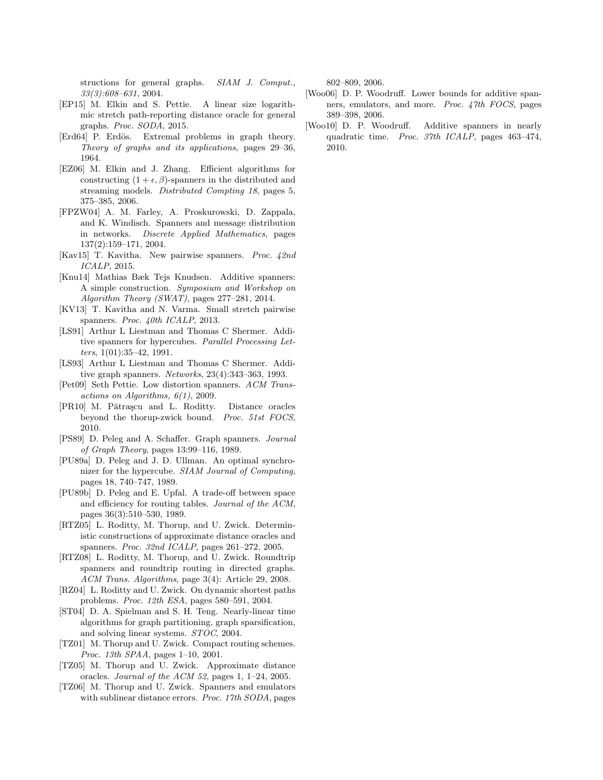structions for general graphs. SIAM J. Comput., 33(3):608–631, 2004.

- <span id="page-15-0"></span>[EP15] M. Elkin and S. Pettie. A linear size logarithmic stretch path-reporting distance oracle for general graphs. Proc. SODA, 2015.
- <span id="page-15-18"></span>[Erd64] P. Erdös. Extremal problems in graph theory. Theory of graphs and its applications, pages 29–36, 1964.
- <span id="page-15-7"></span>[EZ06] M. Elkin and J. Zhang. Efficient algorithms for constructing  $(1 + \epsilon, \beta)$ -spanners in the distributed and streaming models. Distributed Compting 18, pages 5, 375–385, 2006.
- <span id="page-15-8"></span>[FPZW04] A. M. Farley, A. Proskurowski, D. Zappala, and K. Windisch. Spanners and message distribution in networks. Discrete Applied Mathematics, pages 137(2):159–171, 2004.
- <span id="page-15-22"></span>[Kav15] T. Kavitha. New pairwise spanners. Proc. 42nd ICALP, 2015.
- <span id="page-15-17"></span>[Knu14] Mathias Bæk Tejs Knudsen. Additive spanners: A simple construction. Symposium and Workshop on Algorithm Theory (SWAT), pages 277–281, 2014.
- <span id="page-15-21"></span>[KV13] T. Kavitha and N. Varma. Small stretch pairwise spanners. Proc. 40th ICALP, 2013.
- <span id="page-15-13"></span>[LS91] Arthur L Liestman and Thomas C Shermer. Additive spanners for hypercubes. Parallel Processing Letters,  $1(01):35-42$ , 1991.
- <span id="page-15-14"></span>[LS93] Arthur L Liestman and Thomas C Shermer. Additive graph spanners. Networks, 23(4):343–363, 1993.
- <span id="page-15-20"></span>[Pet09] Seth Pettie. Low distortion spanners. ACM Transactions on Algorithms, 6(1), 2009.
- <span id="page-15-1"></span>[PR10] M. Pătrașcu and L. Roditty. Distance oracles beyond the thorup-zwick bound. Proc. 51st FOCS, 2010.
- <span id="page-15-10"></span>[PS89] D. Peleg and A. Schaffer. Graph spanners. Journal of Graph Theory, pages 13:99–116, 1989.
- <span id="page-15-2"></span>[PU89a] D. Peleg and J. D. Ullman. An optimal synchronizer for the hypercube. SIAM Journal of Computing, pages 18, 740–747, 1989.
- <span id="page-15-3"></span>[PU89b] D. Peleg and E. Upfal. A trade-off between space and efficiency for routing tables. Journal of the ACM, pages 36(3):510–530, 1989.
- <span id="page-15-12"></span>[RTZ05] L. Roditty, M. Thorup, and U. Zwick. Deterministic constructions of approximate distance oracles and spanners. Proc. 32nd ICALP, pages 261-272, 2005.
- <span id="page-15-4"></span>[RTZ08] L. Roditty, M. Thorup, and U. Zwick. Roundtrip spanners and roundtrip routing in directed graphs. ACM Trans. Algorithms, page 3(4): Article 29, 2008.
- <span id="page-15-11"></span>[RZ04] L. Roditty and U. Zwick. On dynamic shortest paths problems. Proc. 12th ESA, pages 580–591, 2004.
- <span id="page-15-9"></span>[ST04] D. A. Spielman and S. H. Teng. Nearly-linear time algorithms for graph partitioning, graph sparsification, and solving linear systems. STOC, 2004.
- <span id="page-15-5"></span>[TZ01] M. Thorup and U. Zwick. Compact routing schemes. Proc. 13th SPAA, pages 1–10, 2001.
- <span id="page-15-6"></span>[TZ05] M. Thorup and U. Zwick. Approximate distance oracles. Journal of the ACM 52, pages 1, 1–24, 2005.
- <span id="page-15-15"></span>[TZ06] M. Thorup and U. Zwick. Spanners and emulators with sublinear distance errors. Proc. 17th SODA, pages

802–809, 2006.

- <span id="page-15-19"></span>[Woo06] D. P. Woodruff. Lower bounds for additive spanners, emulators, and more. Proc. 47th FOCS, pages 389–398, 2006.
- <span id="page-15-16"></span>[Woo10] D. P. Woodruff. Additive spanners in nearly quadratic time. Proc. 37th ICALP, pages 463–474, 2010.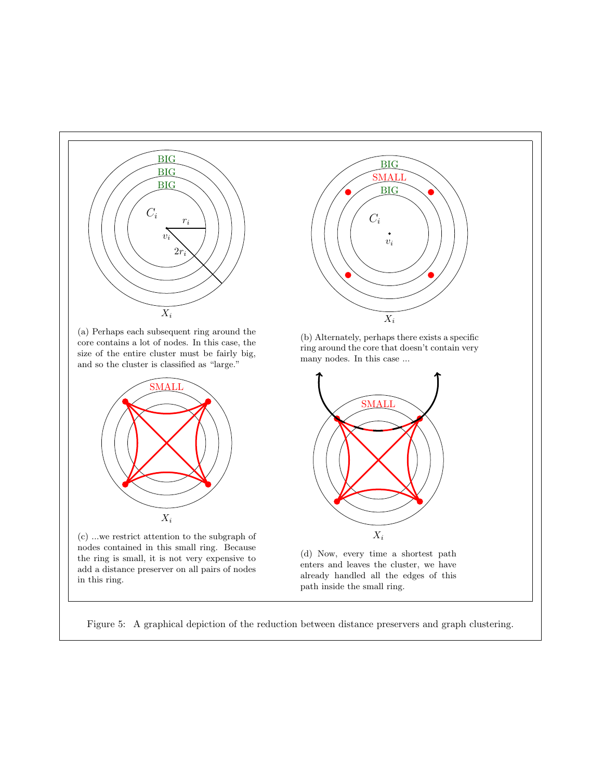<span id="page-16-0"></span>

Figure 5: A graphical depiction of the reduction between distance preservers and graph clustering.